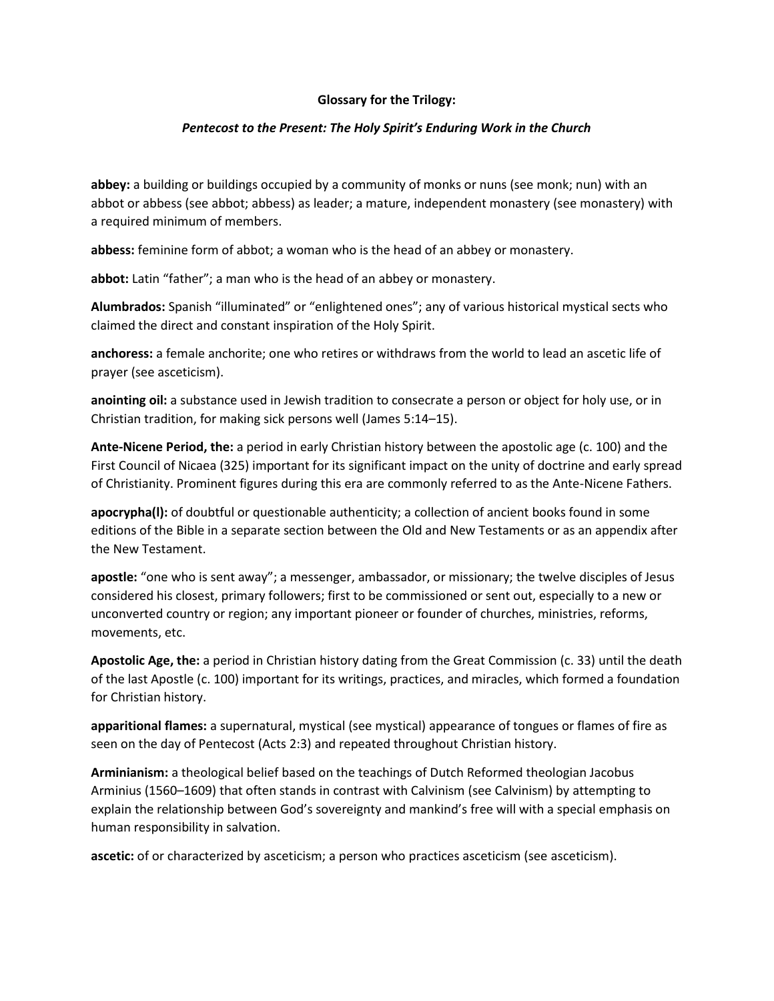## **Glossary for the Trilogy:**

# *Pentecost to the Present: The Holy Spirit's Enduring Work in the Church*

**abbey:** a building or buildings occupied by a community of monks or nuns (see monk; nun) with an abbot or abbess (see abbot; abbess) as leader; a mature, independent monastery (see monastery) with a required minimum of members.

**abbess:** feminine form of abbot; a woman who is the head of an abbey or monastery.

**abbot:** Latin "father"; a man who is the head of an abbey or monastery.

**Alumbrados:** Spanish "illuminated" or "enlightened ones"; any of various historical mystical sects who claimed the direct and constant inspiration of the Holy Spirit.

**anchoress:** a female anchorite; one who retires or withdraws from the world to lead an ascetic life of prayer (see asceticism).

**anointing oil:** a substance used in Jewish tradition to consecrate a person or object for holy use, or in Christian tradition, for making sick persons well (James 5:14–15).

**Ante-Nicene Period, the:** a period in early Christian history between the apostolic age (c. 100) and the First Council of Nicaea (325) important for its significant impact on the unity of doctrine and early spread of Christianity. Prominent figures during this era are commonly referred to as the Ante-Nicene Fathers.

**apocrypha(l):** of doubtful or questionable authenticity; a collection of ancient books found in some editions of the Bible in a separate section between the Old and New Testaments or as an appendix after the New Testament.

**apostle:** "one who is sent away"; a messenger, ambassador, or missionary; the twelve disciples of Jesus considered his closest, primary followers; first to be commissioned or sent out, especially to a new or unconverted country or region; any important pioneer or founder of churches, ministries, reforms, movements, etc.

**Apostolic Age, the:** a period in Christian history dating from the Great Commission (c. 33) until the death of the last Apostle (c. 100) important for its writings, practices, and miracles, which formed a foundation for Christian history.

**apparitional flames:** a supernatural, mystical (see mystical) appearance of tongues or flames of fire as seen on the day of Pentecost (Acts 2:3) and repeated throughout Christian history.

**Arminianism:** a theological belief based on the teachings of Dutch Reformed theologian Jacobus Arminius (1560–1609) that often stands in contrast with Calvinism (see Calvinism) by attempting to explain the relationship between God's sovereignty and mankind's free will with a special emphasis on human responsibility in salvation.

**ascetic:** of or characterized by asceticism; a person who practices asceticism (see asceticism).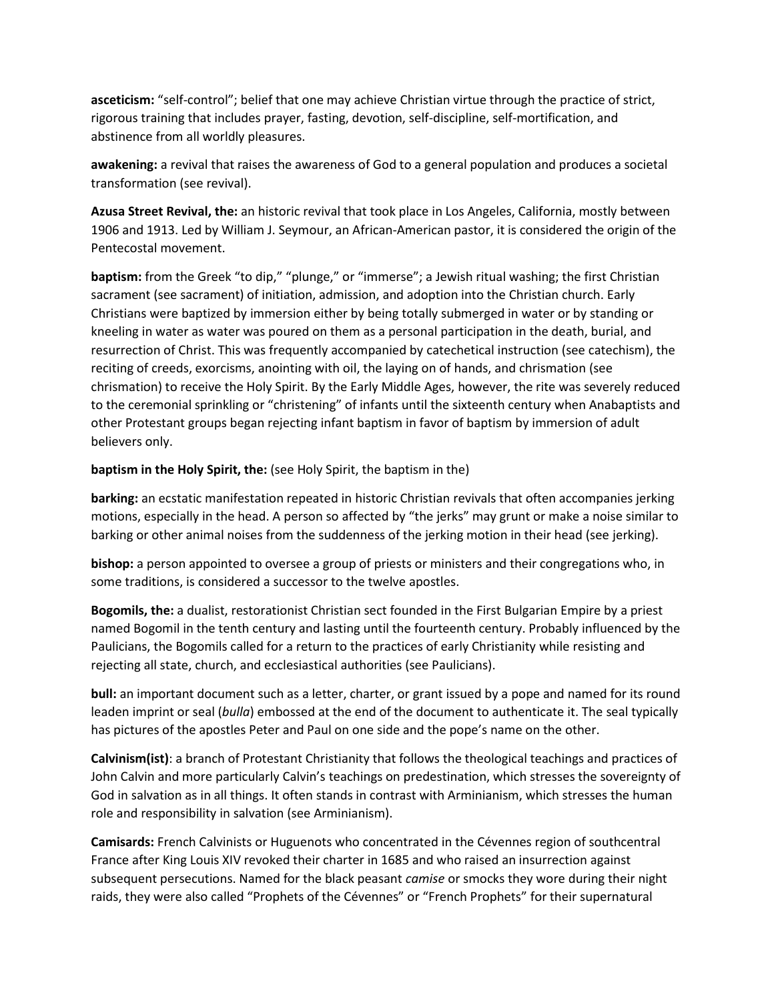**asceticism:** "self-control"; belief that one may achieve Christian virtue through the practice of strict, rigorous training that includes prayer, fasting, devotion, self-discipline, self-mortification, and abstinence from all worldly pleasures.

**awakening:** a revival that raises the awareness of God to a general population and produces a societal transformation (see revival).

**Azusa Street Revival, the:** an historic revival that took place in Los Angeles, California, mostly between 1906 and 1913. Led by William J. Seymour, an African-American pastor, it is considered the origin of the Pentecostal movement.

**baptism:** from the Greek "to dip," "plunge," or "immerse"; a Jewish ritual washing; the first Christian sacrament (see sacrament) of initiation, admission, and adoption into the Christian church. Early Christians were baptized by immersion either by being totally submerged in water or by standing or kneeling in water as water was poured on them as a personal participation in the death, burial, and resurrection of Christ. This was frequently accompanied by catechetical instruction (see catechism), the reciting of creeds, exorcisms, anointing with oil, the laying on of hands, and chrismation (see chrismation) to receive the Holy Spirit. By the Early Middle Ages, however, the rite was severely reduced to the ceremonial sprinkling or "christening" of infants until the sixteenth century when Anabaptists and other Protestant groups began rejecting infant baptism in favor of baptism by immersion of adult believers only.

# **baptism in the Holy Spirit, the:** (see Holy Spirit, the baptism in the)

**barking:** an ecstatic manifestation repeated in historic Christian revivals that often accompanies jerking motions, especially in the head. A person so affected by "the jerks" may grunt or make a noise similar to barking or other animal noises from the suddenness of the jerking motion in their head (see jerking).

**bishop:** a person appointed to oversee a group of priests or ministers and their congregations who, in some traditions, is considered a successor to the twelve apostles.

**Bogomils, the:** a dualist, restorationist Christian sect founded in the First Bulgarian Empire by a priest named Bogomil in the tenth century and lasting until the fourteenth century. Probably influenced by the Paulicians, the Bogomils called for a return to the practices of early Christianity while resisting and rejecting all state, church, and ecclesiastical authorities (see Paulicians).

**bull:** an important document such as a letter, charter, or grant issued by a pope and named for its round leaden imprint or seal (*bulla*) embossed at the end of the document to authenticate it. The seal typically has pictures of the apostles Peter and Paul on one side and the pope's name on the other.

**Calvinism(ist)**: a branch of Protestant Christianity that follows the theological teachings and practices of John Calvin and more particularly Calvin's teachings on predestination, which stresses the sovereignty of God in salvation as in all things. It often stands in contrast with Arminianism, which stresses the human role and responsibility in salvation (see Arminianism).

**Camisards:** French Calvinists or Huguenots who concentrated in the Cévennes region of southcentral France after King Louis XIV revoked their charter in 1685 and who raised an insurrection against subsequent persecutions. Named for the black peasant *camise* or smocks they wore during their night raids, they were also called "Prophets of the Cévennes" or "French Prophets" for their supernatural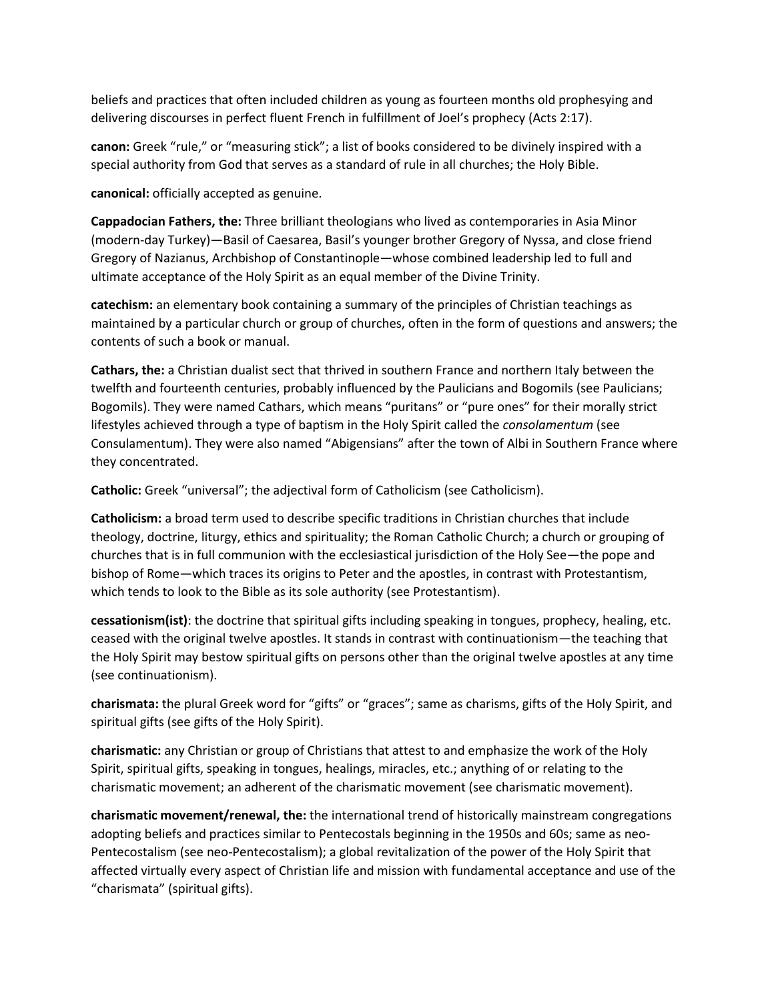beliefs and practices that often included children as young as fourteen months old prophesying and delivering discourses in perfect fluent French in fulfillment of Joel's prophecy (Acts 2:17).

**canon:** Greek "rule," or "measuring stick"; a list of books considered to be divinely inspired with a special authority from God that serves as a standard of rule in all churches; the Holy Bible.

**canonical:** officially accepted as genuine.

**Cappadocian Fathers, the:** Three brilliant theologians who lived as contemporaries in Asia Minor (modern-day Turkey)—Basil of Caesarea, Basil's younger brother Gregory of Nyssa, and close friend Gregory of Nazianus, Archbishop of Constantinople—whose combined leadership led to full and ultimate acceptance of the Holy Spirit as an equal member of the Divine Trinity.

**catechism:** an elementary book containing a summary of the principles of Christian teachings as maintained by a particular church or group of churches, often in the form of questions and answers; the contents of such a book or manual.

**Cathars, the:** a Christian dualist sect that thrived in southern France and northern Italy between the twelfth and fourteenth centuries, probably influenced by the Paulicians and Bogomils (see Paulicians; Bogomils). They were named Cathars, which means "puritans" or "pure ones" for their morally strict lifestyles achieved through a type of baptism in the Holy Spirit called the *consolamentum* (see Consulamentum). They were also named "Abigensians" after the town of Albi in Southern France where they concentrated.

**Catholic:** Greek "universal"; the adjectival form of Catholicism (see Catholicism).

**Catholicism:** a broad term used to describe specific traditions in Christian churches that include theology, doctrine, liturgy, ethics and spirituality; the Roman Catholic Church; a church or grouping of churches that is in full communion with the ecclesiastical jurisdiction of the Holy See—the pope and bishop of Rome—which traces its origins to Peter and the apostles, in contrast with Protestantism, which tends to look to the Bible as its sole authority (see Protestantism).

**cessationism(ist)**: the doctrine that spiritual gifts including speaking in tongues, prophecy, healing, etc. ceased with the original twelve apostles. It stands in contrast with continuationism—the teaching that the Holy Spirit may bestow spiritual gifts on persons other than the original twelve apostles at any time (see continuationism).

**charismata:** the plural Greek word for "gifts" or "graces"; same as charisms, gifts of the Holy Spirit, and spiritual gifts (see gifts of the Holy Spirit).

**charismatic:** any Christian or group of Christians that attest to and emphasize the work of the Holy Spirit, spiritual gifts, speaking in tongues, healings, miracles, etc.; anything of or relating to the charismatic movement; an adherent of the charismatic movement (see charismatic movement).

**charismatic movement/renewal, the:** the international trend of historically mainstream congregations adopting beliefs and practices similar to Pentecostals beginning in the 1950s and 60s; same as neo-Pentecostalism (see neo-Pentecostalism); a global revitalization of the power of the Holy Spirit that affected virtually every aspect of Christian life and mission with fundamental acceptance and use of the "charismata" (spiritual gifts).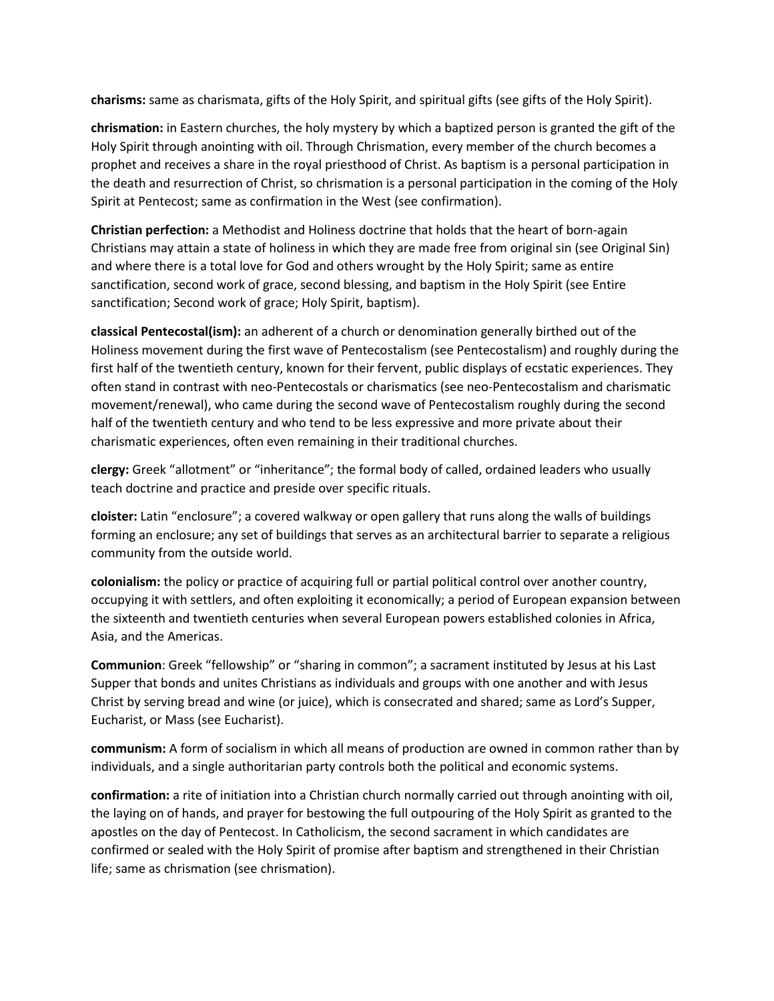**charisms:** same as charismata, gifts of the Holy Spirit, and spiritual gifts (see gifts of the Holy Spirit).

**chrismation:** in Eastern churches, the holy mystery by which a baptized person is granted the gift of the Holy Spirit through anointing with oil. Through Chrismation, every member of the church becomes a prophet and receives a share in the royal priesthood of Christ. As baptism is a personal participation in the death and resurrection of Christ, so chrismation is a personal participation in the coming of the Holy Spirit at Pentecost; same as confirmation in the West (see confirmation).

**Christian perfection:** a Methodist and Holiness doctrine that holds that the heart of born-again Christians may attain a state of holiness in which they are made free from original sin (see Original Sin) and where there is a total love for God and others wrought by the Holy Spirit; same as entire sanctification, second work of grace, second blessing, and baptism in the Holy Spirit (see Entire sanctification; Second work of grace; Holy Spirit, baptism).

**classical Pentecostal(ism):** an adherent of a church or denomination generally birthed out of the Holiness movement during the first wave of Pentecostalism (see Pentecostalism) and roughly during the first half of the twentieth century, known for their fervent, public displays of ecstatic experiences. They often stand in contrast with neo-Pentecostals or charismatics (see neo-Pentecostalism and charismatic movement/renewal), who came during the second wave of Pentecostalism roughly during the second half of the twentieth century and who tend to be less expressive and more private about their charismatic experiences, often even remaining in their traditional churches.

**clergy:** Greek "allotment" or "inheritance"; the formal body of called, ordained leaders who usually teach doctrine and practice and preside over specific rituals.

**cloister:** Latin "enclosure"; a covered walkway or open gallery that runs along the walls of buildings forming an enclosure; any set of buildings that serves as an architectural barrier to separate a religious community from the outside world.

**colonialism:** the policy or practice of acquiring full or partial political control over another country, occupying it with settlers, and often exploiting it economically; a period of European expansion between the sixteenth and twentieth centuries when several European powers established colonies in Africa, Asia, and the Americas.

**Communion**: Greek "fellowship" or "sharing in common"; a sacrament instituted by Jesus at his Last Supper that bonds and unites Christians as individuals and groups with one another and with Jesus Christ by serving bread and wine (or juice), which is consecrated and shared; same as Lord's Supper, Eucharist, or Mass (see Eucharist).

**communism:** A form of socialism in which all means of production are owned in common rather than by individuals, and a single authoritarian party controls both the political and economic systems.

**confirmation:** a rite of initiation into a Christian church normally carried out through anointing with oil, the laying on of hands, and prayer for bestowing the full outpouring of the Holy Spirit as granted to the apostles on the day of Pentecost. In Catholicism, the second sacrament in which candidates are confirmed or sealed with the Holy Spirit of promise after baptism and strengthened in their Christian life; same as chrismation (see chrismation).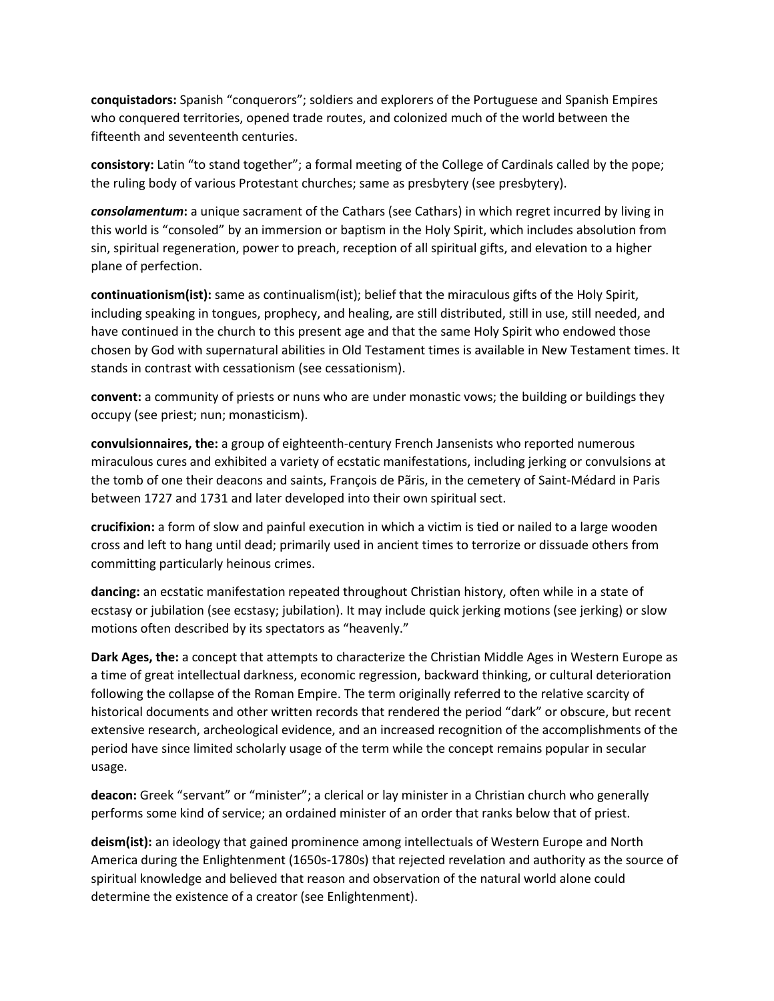**conquistadors:** Spanish "conquerors"; soldiers and explorers of the Portuguese and Spanish Empires who conquered territories, opened trade routes, and colonized much of the world between the fifteenth and seventeenth centuries.

**consistory:** Latin "to stand together"; a formal meeting of the College of Cardinals called by the pope; the ruling body of various Protestant churches; same as presbytery (see presbytery).

*consolamentum***:** a unique sacrament of the Cathars (see Cathars) in which regret incurred by living in this world is "consoled" by an immersion or baptism in the Holy Spirit, which includes absolution from sin, spiritual regeneration, power to preach, reception of all spiritual gifts, and elevation to a higher plane of perfection.

**continuationism(ist):** same as continualism(ist); belief that the miraculous gifts of the Holy Spirit, including speaking in tongues, prophecy, and healing, are still distributed, still in use, still needed, and have continued in the church to this present age and that the same Holy Spirit who endowed those chosen by God with supernatural abilities in Old Testament times is available in New Testament times. It stands in contrast with cessationism (see cessationism).

**convent:** a community of priests or nuns who are under monastic vows; the building or buildings they occupy (see priest; nun; monasticism).

**convulsionnaires, the:** a group of eighteenth-century French Jansenists who reported numerous miraculous cures and exhibited a variety of ecstatic manifestations, including jerking or convulsions at the tomb of one their deacons and saints, François de Pãris, in the cemetery of Saint-Médard in Paris between 1727 and 1731 and later developed into their own spiritual sect.

**crucifixion:** a form of slow and painful execution in which a victim is tied or nailed to a large wooden cross and left to hang until dead; primarily used in ancient times to terrorize or dissuade others from committing particularly heinous crimes.

**dancing:** an ecstatic manifestation repeated throughout Christian history, often while in a state of ecstasy or jubilation (see ecstasy; jubilation). It may include quick jerking motions (see jerking) or slow motions often described by its spectators as "heavenly."

**Dark Ages, the:** a concept that attempts to characterize the Christian Middle Ages in Western Europe as a time of great intellectual darkness, economic regression, backward thinking, or cultural deterioration following the collapse of the Roman Empire. The term originally referred to the relative scarcity of historical documents and other written records that rendered the period "dark" or obscure, but recent extensive research, archeological evidence, and an increased recognition of the accomplishments of the period have since limited scholarly usage of the term while the concept remains popular in secular usage.

**deacon:** Greek "servant" or "minister"; a clerical or lay minister in a Christian church who generally performs some kind of service; an ordained minister of an order that ranks below that of priest.

**deism(ist):** an ideology that gained prominence among intellectuals of Western Europe and North America during the Enlightenment (1650s-1780s) that rejected revelation and authority as the source of spiritual knowledge and believed that reason and observation of the natural world alone could determine the existence of a creator (see Enlightenment).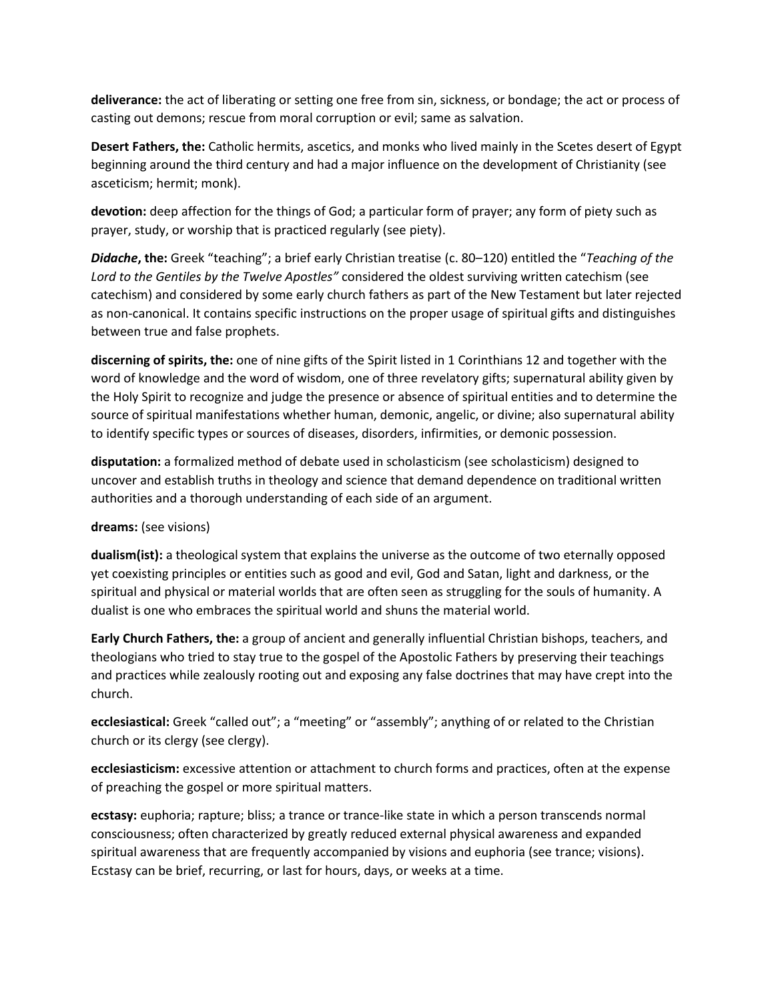**deliverance:** the act of liberating or setting one free from sin, sickness, or bondage; the act or process of casting out demons; rescue from moral corruption or evil; same as salvation.

**Desert Fathers, the:** Catholic hermits, ascetics, and monks who lived mainly in the Scetes desert of Egypt beginning around the third century and had a major influence on the development of Christianity (see asceticism; hermit; monk).

**devotion:** deep affection for the things of God; a particular form of prayer; any form of piety such as prayer, study, or worship that is practiced regularly (see piety).

*Didache***, the:** Greek "teaching"; a brief early Christian treatise (c. 80–120) entitled the "*Teaching of the Lord to the Gentiles by the Twelve Apostles"* considered the oldest surviving written catechism (see catechism) and considered by some early church fathers as part of the New Testament but later rejected as non-canonical. It contains specific instructions on the proper usage of spiritual gifts and distinguishes between true and false prophets.

**discerning of spirits, the:** one of nine gifts of the Spirit listed in 1 Corinthians 12 and together with the word of knowledge and the word of wisdom, one of three revelatory gifts; supernatural ability given by the Holy Spirit to recognize and judge the presence or absence of spiritual entities and to determine the source of spiritual manifestations whether human, demonic, angelic, or divine; also supernatural ability to identify specific types or sources of diseases, disorders, infirmities, or demonic possession.

**disputation:** a formalized method of debate used in scholasticism (see scholasticism) designed to uncover and establish truths in theology and science that demand dependence on traditional written authorities and a thorough understanding of each side of an argument.

## **dreams:** (see visions)

**dualism(ist):** a theological system that explains the universe as the outcome of two eternally opposed yet coexisting principles or entities such as good and evil, God and Satan, light and darkness, or the spiritual and physical or material worlds that are often seen as struggling for the souls of humanity. A dualist is one who embraces the spiritual world and shuns the material world.

**Early Church Fathers, the:** a group of ancient and generally influential Christian bishops, teachers, and theologians who tried to stay true to the gospel of the Apostolic Fathers by preserving their teachings and practices while zealously rooting out and exposing any false doctrines that may have crept into the church.

**ecclesiastical:** Greek "called out"; a "meeting" or "assembly"; anything of or related to the Christian church or its clergy (see clergy).

**ecclesiasticism:** excessive attention or attachment to church forms and practices, often at the expense of preaching the gospel or more spiritual matters.

**ecstasy:** euphoria; rapture; bliss; a trance or trance-like state in which a person transcends normal consciousness; often characterized by greatly reduced external physical awareness and expanded spiritual awareness that are frequently accompanied by visions and euphoria (see trance; visions). Ecstasy can be brief, recurring, or last for hours, days, or weeks at a time.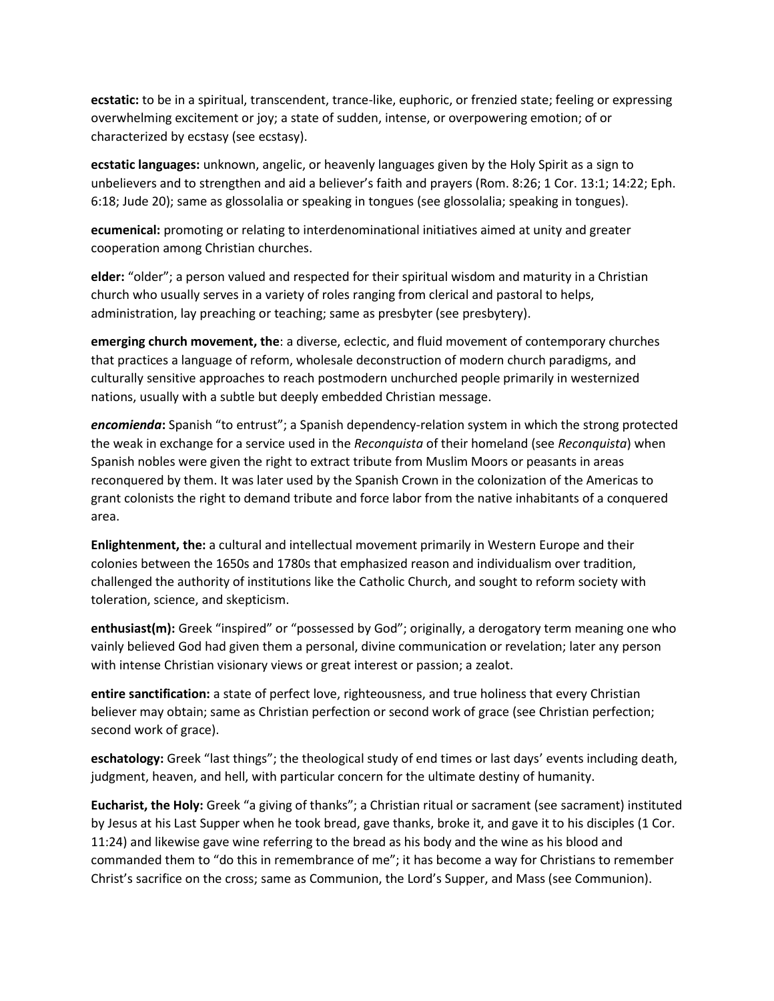**ecstatic:** to be in a spiritual, transcendent, trance-like, euphoric, or frenzied state; feeling or expressing overwhelming excitement or joy; a state of sudden, intense, or overpowering emotion; of or characterized by ecstasy (see ecstasy).

**ecstatic languages:** unknown, angelic, or heavenly languages given by the Holy Spirit as a sign to unbelievers and to strengthen and aid a believer's faith and prayers (Rom. 8:26; 1 Cor. 13:1; 14:22; Eph. 6:18; Jude 20); same as glossolalia or speaking in tongues (see glossolalia; speaking in tongues).

**ecumenical:** promoting or relating to interdenominational initiatives aimed at unity and greater cooperation among Christian churches.

**elder:** "older"; a person valued and respected for their spiritual wisdom and maturity in a Christian church who usually serves in a variety of roles ranging from clerical and pastoral to helps, administration, lay preaching or teaching; same as presbyter (see presbytery).

**emerging church movement, the**: a diverse, eclectic, and fluid movement of contemporary churches that practices a language of reform, wholesale deconstruction of modern church paradigms, and culturally sensitive approaches to reach postmodern unchurched people primarily in westernized nations, usually with a subtle but deeply embedded Christian message.

*encomienda***:** Spanish "to entrust"; a Spanish dependency-relation system in which the strong protected the weak in exchange for a service used in the *Reconquista* of their homeland (see *Reconquista*) when Spanish nobles were given the right to extract tribute from Muslim Moors or peasants in areas reconquered by them. It was later used by the Spanish Crown in the colonization of the Americas to grant colonists the right to demand tribute and force labor from the native inhabitants of a conquered area.

**Enlightenment, the:** a cultural and intellectual movement primarily in Western Europe and their colonies between the 1650s and 1780s that emphasized reason and individualism over tradition, challenged the authority of institutions like the Catholic Church, and sought to reform society with toleration, science, and skepticism.

**enthusiast(m):** Greek "inspired" or "possessed by God"; originally, a derogatory term meaning one who vainly believed God had given them a personal, divine communication or revelation; later any person with intense Christian visionary views or great interest or passion; a zealot.

**entire sanctification:** a state of perfect love, righteousness, and true holiness that every Christian believer may obtain; same as Christian perfection or second work of grace (see Christian perfection; second work of grace).

**eschatology:** Greek "last things"; the theological study of end times or last days' events including death, judgment, heaven, and hell, with particular concern for the ultimate destiny of humanity.

**Eucharist, the Holy:** Greek "a giving of thanks"; a Christian ritual or sacrament (see sacrament) instituted by Jesus at his Last Supper when he took bread, gave thanks, broke it, and gave it to his disciples (1 Cor. 11:24) and likewise gave wine referring to the bread as his body and the wine as his blood and commanded them to "do this in remembrance of me"; it has become a way for Christians to remember Christ's sacrifice on the cross; same as Communion, the Lord's Supper, and Mass (see Communion).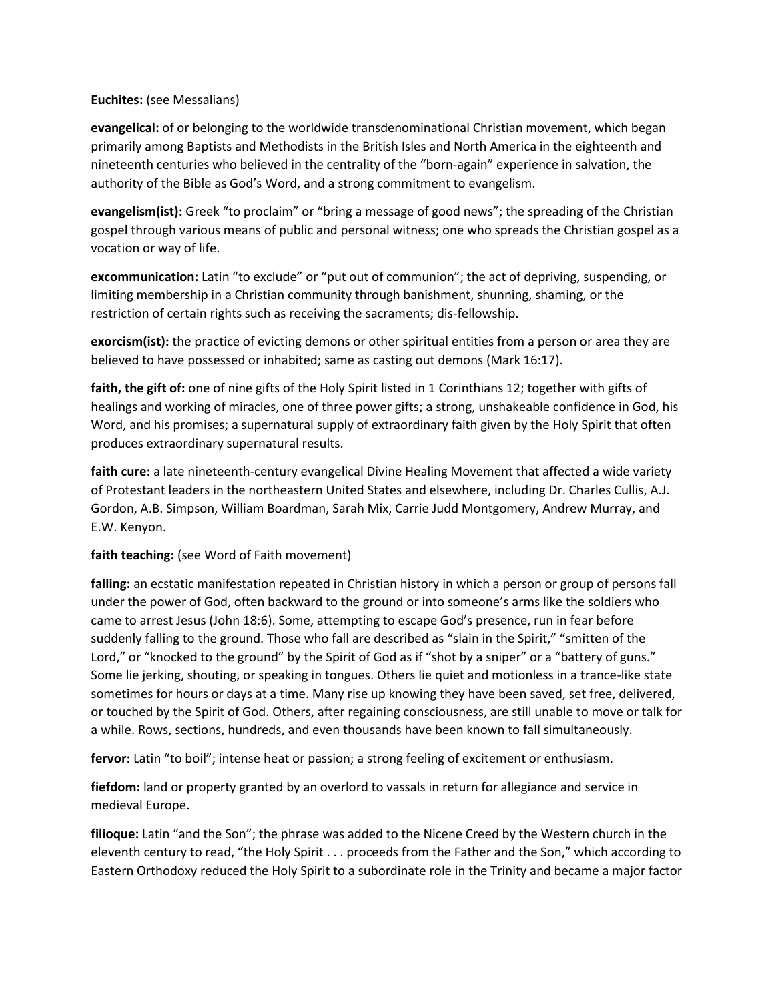#### **Euchites:** (see Messalians)

**evangelical:** of or belonging to the worldwide transdenominational Christian movement, which began primarily among Baptists and Methodists in the British Isles and North America in the eighteenth and nineteenth centuries who believed in the centrality of the "born-again" experience in salvation, the authority of the Bible as God's Word, and a strong commitment to evangelism.

**evangelism(ist):** Greek "to proclaim" or "bring a message of good news"; the spreading of the Christian gospel through various means of public and personal witness; one who spreads the Christian gospel as a vocation or way of life.

**excommunication:** Latin "to exclude" or "put out of communion"; the act of depriving, suspending, or limiting membership in a Christian community through banishment, shunning, shaming, or the restriction of certain rights such as receiving the sacraments; dis-fellowship.

**exorcism(ist):** the practice of evicting demons or other spiritual entities from a person or area they are believed to have possessed or inhabited; same as casting out demons (Mark 16:17).

**faith, the gift of:** one of nine gifts of the Holy Spirit listed in 1 Corinthians 12; together with gifts of healings and working of miracles, one of three power gifts; a strong, unshakeable confidence in God, his Word, and his promises; a supernatural supply of extraordinary faith given by the Holy Spirit that often produces extraordinary supernatural results.

**faith cure:** a late nineteenth-century evangelical Divine Healing Movement that affected a wide variety of Protestant leaders in the northeastern United States and elsewhere, including Dr. Charles Cullis, A.J. Gordon, A.B. Simpson, William Boardman, Sarah Mix, Carrie Judd Montgomery, Andrew Murray, and E.W. Kenyon.

## **faith teaching:** (see Word of Faith movement)

**falling:** an ecstatic manifestation repeated in Christian history in which a person or group of persons fall under the power of God, often backward to the ground or into someone's arms like the soldiers who came to arrest Jesus (John 18:6). Some, attempting to escape God's presence, run in fear before suddenly falling to the ground. Those who fall are described as "slain in the Spirit," "smitten of the Lord," or "knocked to the ground" by the Spirit of God as if "shot by a sniper" or a "battery of guns." Some lie jerking, shouting, or speaking in tongues. Others lie quiet and motionless in a trance-like state sometimes for hours or days at a time. Many rise up knowing they have been saved, set free, delivered, or touched by the Spirit of God. Others, after regaining consciousness, are still unable to move or talk for a while. Rows, sections, hundreds, and even thousands have been known to fall simultaneously.

**fervor:** Latin "to boil"; intense heat or passion; a strong feeling of excitement or enthusiasm.

**fiefdom:** land or property granted by an overlord to vassals in return for allegiance and service in medieval Europe.

**filioque:** Latin "and the Son"; the phrase was added to the Nicene Creed by the Western church in the eleventh century to read, "the Holy Spirit . . . proceeds from the Father and the Son," which according to Eastern Orthodoxy reduced the Holy Spirit to a subordinate role in the Trinity and became a major factor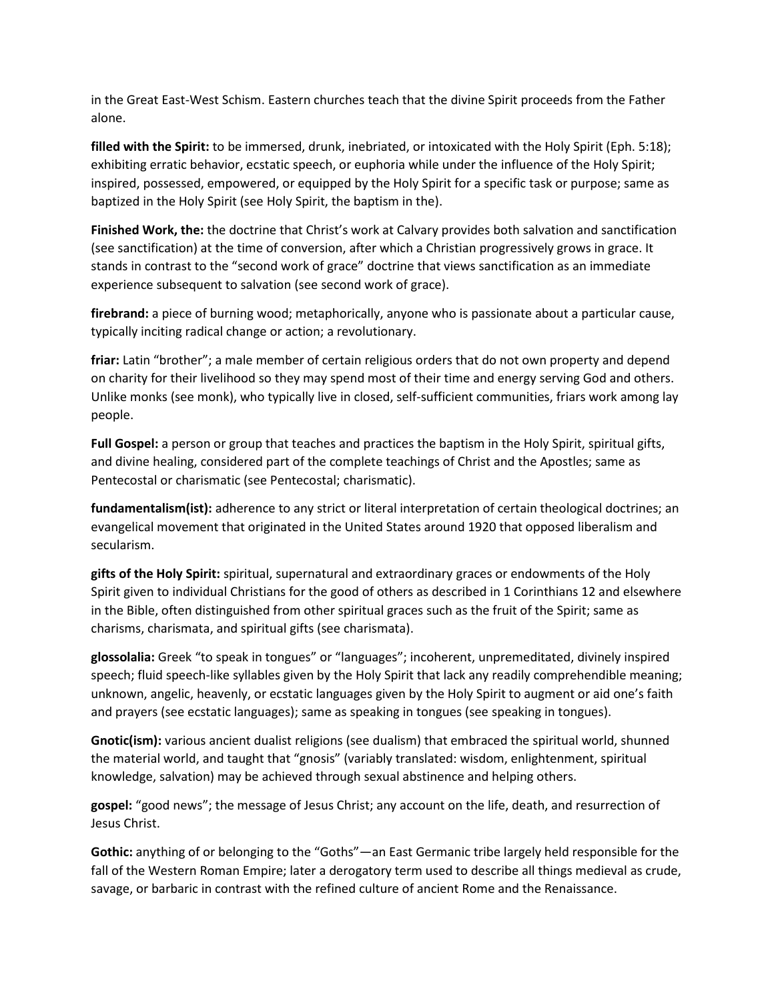in the Great East-West Schism. Eastern churches teach that the divine Spirit proceeds from the Father alone.

**filled with the Spirit:** to be immersed, drunk, inebriated, or intoxicated with the Holy Spirit (Eph. 5:18); exhibiting erratic behavior, ecstatic speech, or euphoria while under the influence of the Holy Spirit; inspired, possessed, empowered, or equipped by the Holy Spirit for a specific task or purpose; same as baptized in the Holy Spirit (see Holy Spirit, the baptism in the).

**Finished Work, the:** the doctrine that Christ's work at Calvary provides both salvation and sanctification (see sanctification) at the time of conversion, after which a Christian progressively grows in grace. It stands in contrast to the "second work of grace" doctrine that views sanctification as an immediate experience subsequent to salvation (see second work of grace).

**firebrand:** a piece of burning wood; metaphorically, anyone who is passionate about a particular cause, typically inciting radical change or action; a revolutionary.

**friar:** Latin "brother"; a male member of certain religious orders that do not own property and depend on charity for their livelihood so they may spend most of their time and energy serving God and others. Unlike monks (see monk), who typically live in closed, self-sufficient communities, friars work among lay people.

**Full Gospel:** a person or group that teaches and practices the baptism in the Holy Spirit, spiritual gifts, and divine healing, considered part of the complete teachings of Christ and the Apostles; same as Pentecostal or charismatic (see Pentecostal; charismatic).

**fundamentalism(ist):** adherence to any strict or literal interpretation of certain theological doctrines; an evangelical movement that originated in the United States around 1920 that opposed liberalism and secularism.

**gifts of the Holy Spirit:** spiritual, supernatural and extraordinary graces or endowments of the Holy Spirit given to individual Christians for the good of others as described in 1 Corinthians 12 and elsewhere in the Bible, often distinguished from other spiritual graces such as the fruit of the Spirit; same as charisms, charismata, and spiritual gifts (see charismata).

**glossolalia:** Greek "to speak in tongues" or "languages"; incoherent, unpremeditated, divinely inspired speech; fluid speech-like syllables given by the Holy Spirit that lack any readily comprehendible meaning; unknown, angelic, heavenly, or ecstatic languages given by the Holy Spirit to augment or aid one's faith and prayers (see ecstatic languages); same as speaking in tongues (see speaking in tongues).

**Gnotic(ism):** various ancient dualist religions (see dualism) that embraced the spiritual world, shunned the material world, and taught that "gnosis" (variably translated: wisdom, enlightenment, spiritual knowledge, salvation) may be achieved through sexual abstinence and helping others.

**gospel:** "good news"; the message of Jesus Christ; any account on the life, death, and resurrection of Jesus Christ.

**Gothic:** anything of or belonging to the "Goths"—an East Germanic tribe largely held responsible for the fall of the Western Roman Empire; later a derogatory term used to describe all things medieval as crude, savage, or barbaric in contrast with the refined culture of ancient Rome and the Renaissance.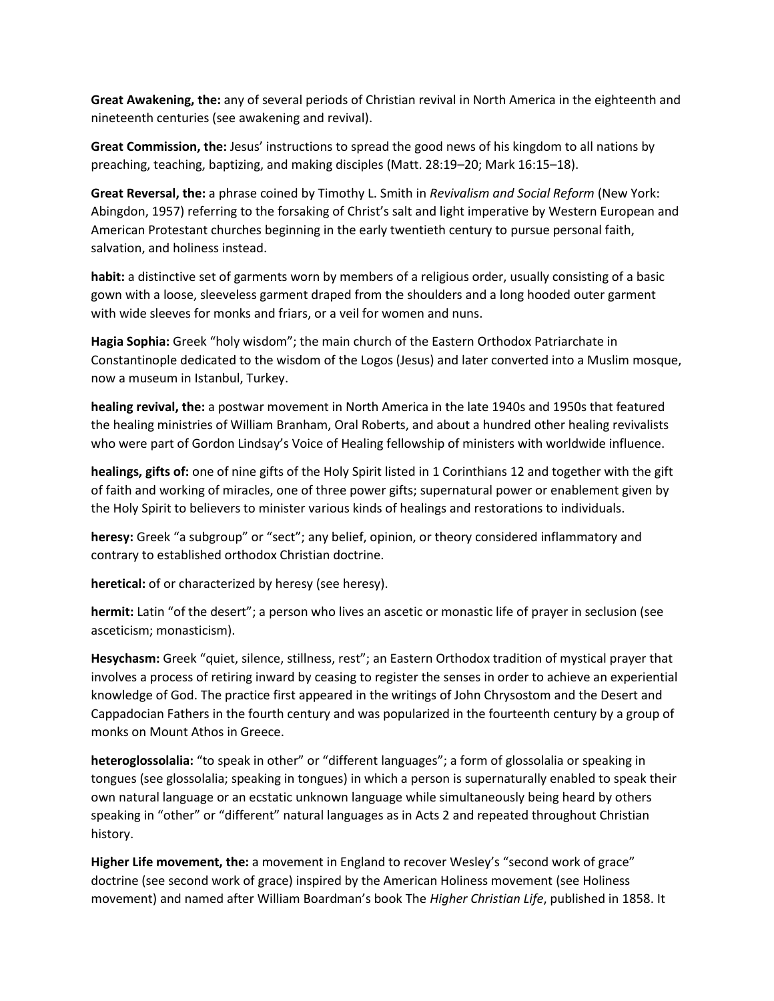**Great Awakening, the:** any of several periods of Christian revival in North America in the eighteenth and nineteenth centuries (see awakening and revival).

**Great Commission, the:** Jesus' instructions to spread the good news of his kingdom to all nations by preaching, teaching, baptizing, and making disciples (Matt. 28:19–20; Mark 16:15–18).

**Great Reversal, the:** a phrase coined by Timothy L. Smith in *Revivalism and Social Reform* (New York: Abingdon, 1957) referring to the forsaking of Christ's salt and light imperative by Western European and American Protestant churches beginning in the early twentieth century to pursue personal faith, salvation, and holiness instead.

**habit:** a distinctive set of garments worn by members of a religious order, usually consisting of a basic gown with a loose, sleeveless garment draped from the shoulders and a long hooded outer garment with wide sleeves for monks and friars, or a veil for women and nuns.

**Hagia Sophia:** Greek "holy wisdom"; the main church of the Eastern Orthodox Patriarchate in Constantinople dedicated to the wisdom of the Logos (Jesus) and later converted into a Muslim mosque, now a museum in Istanbul, Turkey.

**healing revival, the:** a postwar movement in North America in the late 1940s and 1950s that featured the healing ministries of William Branham, Oral Roberts, and about a hundred other healing revivalists who were part of Gordon Lindsay's Voice of Healing fellowship of ministers with worldwide influence.

**healings, gifts of:** one of nine gifts of the Holy Spirit listed in 1 Corinthians 12 and together with the gift of faith and working of miracles, one of three power gifts; supernatural power or enablement given by the Holy Spirit to believers to minister various kinds of healings and restorations to individuals.

**heresy:** Greek "a subgroup" or "sect"; any belief, opinion, or theory considered inflammatory and contrary to established orthodox Christian doctrine.

**heretical:** of or characterized by heresy (see heresy).

**hermit:** Latin "of the desert"; a person who lives an ascetic or monastic life of prayer in seclusion (see asceticism; monasticism).

**Hesychasm:** Greek "quiet, silence, stillness, rest"; an Eastern Orthodox tradition of mystical prayer that involves a process of retiring inward by ceasing to register the senses in order to achieve an experiential knowledge of God. The practice first appeared in the writings of John Chrysostom and the Desert and Cappadocian Fathers in the fourth century and was popularized in the fourteenth century by a group of monks on Mount Athos in Greece.

**heteroglossolalia:** "to speak in other" or "different languages"; a form of glossolalia or speaking in tongues (see glossolalia; speaking in tongues) in which a person is supernaturally enabled to speak their own natural language or an ecstatic unknown language while simultaneously being heard by others speaking in "other" or "different" natural languages as in Acts 2 and repeated throughout Christian history.

**Higher Life movement, the:** a movement in England to recover Wesley's "second work of grace" doctrine (see second work of grace) inspired by the American Holiness movement (see Holiness movement) and named after William Boardman's book The *Higher Christian Life*, published in 1858. It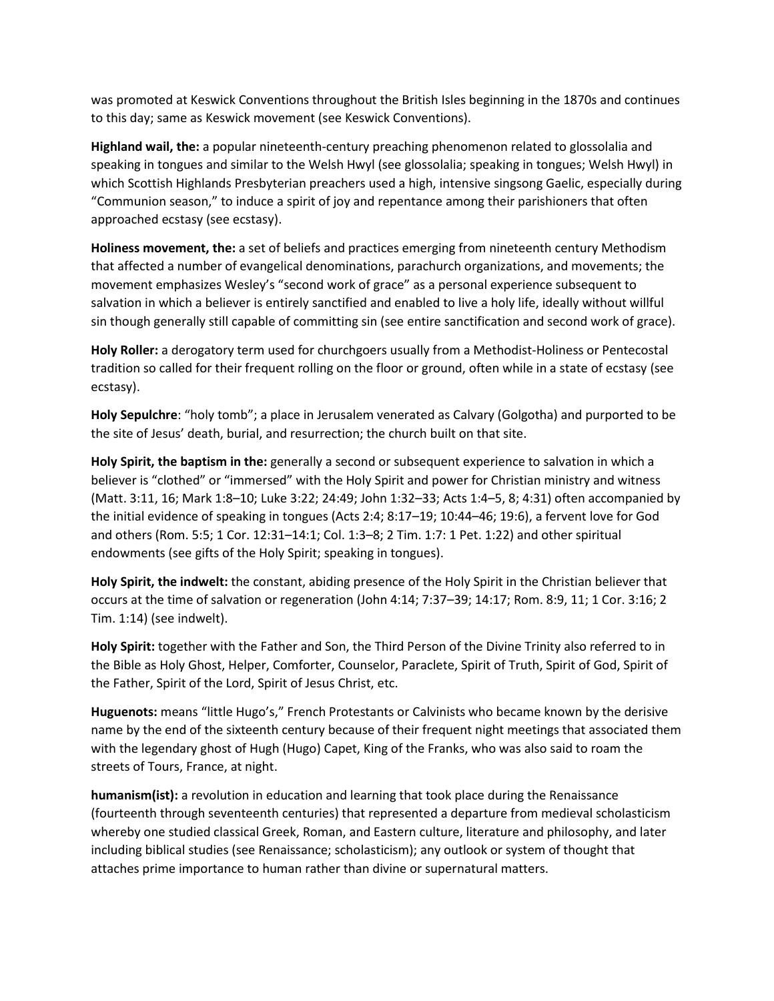was promoted at Keswick Conventions throughout the British Isles beginning in the 1870s and continues to this day; same as Keswick movement (see Keswick Conventions).

**Highland wail, the:** a popular nineteenth-century preaching phenomenon related to glossolalia and speaking in tongues and similar to the Welsh Hwyl (see glossolalia; speaking in tongues; Welsh Hwyl) in which Scottish Highlands Presbyterian preachers used a high, intensive singsong Gaelic, especially during "Communion season," to induce a spirit of joy and repentance among their parishioners that often approached ecstasy (see ecstasy).

**Holiness movement, the:** a set of beliefs and practices emerging from nineteenth century Methodism that affected a number of evangelical denominations, parachurch organizations, and movements; the movement emphasizes Wesley's "second work of grace" as a personal experience subsequent to salvation in which a believer is entirely sanctified and enabled to live a holy life, ideally without willful sin though generally still capable of committing sin (see entire sanctification and second work of grace).

**Holy Roller:** a derogatory term used for churchgoers usually from a Methodist-Holiness or Pentecostal tradition so called for their frequent rolling on the floor or ground, often while in a state of ecstasy (see ecstasy).

**Holy Sepulchre**: "holy tomb"; a place in Jerusalem venerated as Calvary (Golgotha) and purported to be the site of Jesus' death, burial, and resurrection; the church built on that site.

**Holy Spirit, the baptism in the:** generally a second or subsequent experience to salvation in which a believer is "clothed" or "immersed" with the Holy Spirit and power for Christian ministry and witness (Matt. 3:11, 16; Mark 1:8–10; Luke 3:22; 24:49; John 1:32–33; Acts 1:4–5, 8; 4:31) often accompanied by the initial evidence of speaking in tongues (Acts 2:4; 8:17–19; 10:44–46; 19:6), a fervent love for God and others (Rom. 5:5; 1 Cor. 12:31–14:1; Col. 1:3–8; 2 Tim. 1:7: 1 Pet. 1:22) and other spiritual endowments (see gifts of the Holy Spirit; speaking in tongues).

**Holy Spirit, the indwelt:** the constant, abiding presence of the Holy Spirit in the Christian believer that occurs at the time of salvation or regeneration (John 4:14; 7:37–39; 14:17; Rom. 8:9, 11; 1 Cor. 3:16; 2 Tim. 1:14) (see indwelt).

**Holy Spirit:** together with the Father and Son, the Third Person of the Divine Trinity also referred to in the Bible as Holy Ghost, Helper, Comforter, Counselor, Paraclete, Spirit of Truth, Spirit of God, Spirit of the Father, Spirit of the Lord, Spirit of Jesus Christ, etc.

**Huguenots:** means "little Hugo's," French Protestants or Calvinists who became known by the derisive name by the end of the sixteenth century because of their frequent night meetings that associated them with the legendary ghost of Hugh (Hugo) Capet, King of the Franks, who was also said to roam the streets of Tours, France, at night.

**humanism(ist):** a revolution in education and learning that took place during the Renaissance (fourteenth through seventeenth centuries) that represented a departure from medieval scholasticism whereby one studied classical Greek, Roman, and Eastern culture, literature and philosophy, and later including biblical studies (see Renaissance; scholasticism); any outlook or system of thought that attaches prime importance to human rather than divine or supernatural matters.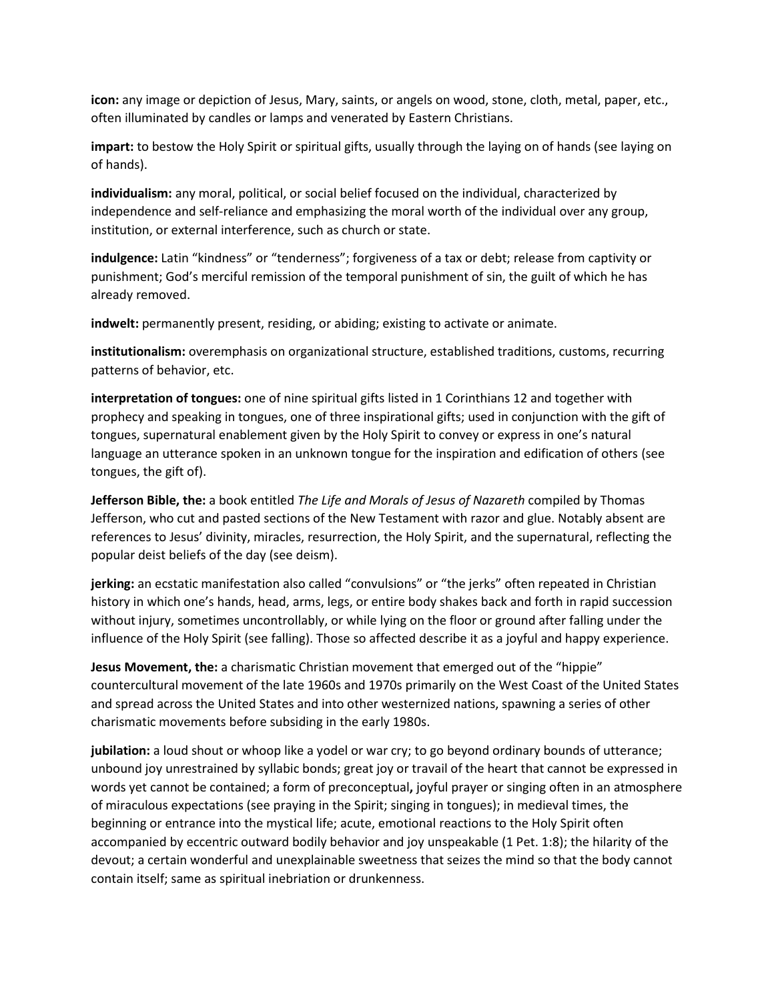**icon:** any image or depiction of Jesus, Mary, saints, or angels on wood, stone, cloth, metal, paper, etc., often illuminated by candles or lamps and venerated by Eastern Christians.

**impart:** to bestow the Holy Spirit or spiritual gifts, usually through the laying on of hands (see laying on of hands).

**individualism:** any moral, political, or social belief focused on the individual, characterized by independence and self-reliance and emphasizing the moral worth of the individual over any group, institution, or external interference, such as church or state.

**indulgence:** Latin "kindness" or "tenderness"; forgiveness of a tax or debt; release from captivity or punishment; God's merciful remission of the temporal punishment of sin, the guilt of which he has already removed.

**indwelt:** permanently present, residing, or abiding; existing to activate or animate.

**institutionalism:** overemphasis on organizational structure, established traditions, customs, recurring patterns of behavior, etc.

**interpretation of tongues:** one of nine spiritual gifts listed in 1 Corinthians 12 and together with prophecy and speaking in tongues, one of three inspirational gifts; used in conjunction with the gift of tongues, supernatural enablement given by the Holy Spirit to convey or express in one's natural language an utterance spoken in an unknown tongue for the inspiration and edification of others (see tongues, the gift of).

**Jefferson Bible, the:** a book entitled *The Life and Morals of Jesus of Nazareth* compiled by Thomas Jefferson, who cut and pasted sections of the New Testament with razor and glue. Notably absent are references to Jesus' divinity, miracles, resurrection, the Holy Spirit, and the supernatural, reflecting the popular deist beliefs of the day (see deism).

**jerking:** an ecstatic manifestation also called "convulsions" or "the jerks" often repeated in Christian history in which one's hands, head, arms, legs, or entire body shakes back and forth in rapid succession without injury, sometimes uncontrollably, or while lying on the floor or ground after falling under the influence of the Holy Spirit (see falling). Those so affected describe it as a joyful and happy experience.

**Jesus Movement, the:** a charismatic Christian movement that emerged out of the "hippie" countercultural movement of the late 1960s and 1970s primarily on the West Coast of the United States and spread across the United States and into other westernized nations, spawning a series of other charismatic movements before subsiding in the early 1980s.

**jubilation:** a loud shout or whoop like a yodel or war cry; to go beyond ordinary bounds of utterance; unbound joy unrestrained by syllabic bonds; great joy or travail of the heart that cannot be expressed in words yet cannot be contained; a form of preconceptual**,** joyful prayer or singing often in an atmosphere of miraculous expectations (see praying in the Spirit; singing in tongues); in medieval times, the beginning or entrance into the mystical life; acute, emotional reactions to the Holy Spirit often accompanied by eccentric outward bodily behavior and joy unspeakable (1 Pet. 1:8); the hilarity of the devout; a certain wonderful and unexplainable sweetness that seizes the mind so that the body cannot contain itself; same as spiritual inebriation or drunkenness.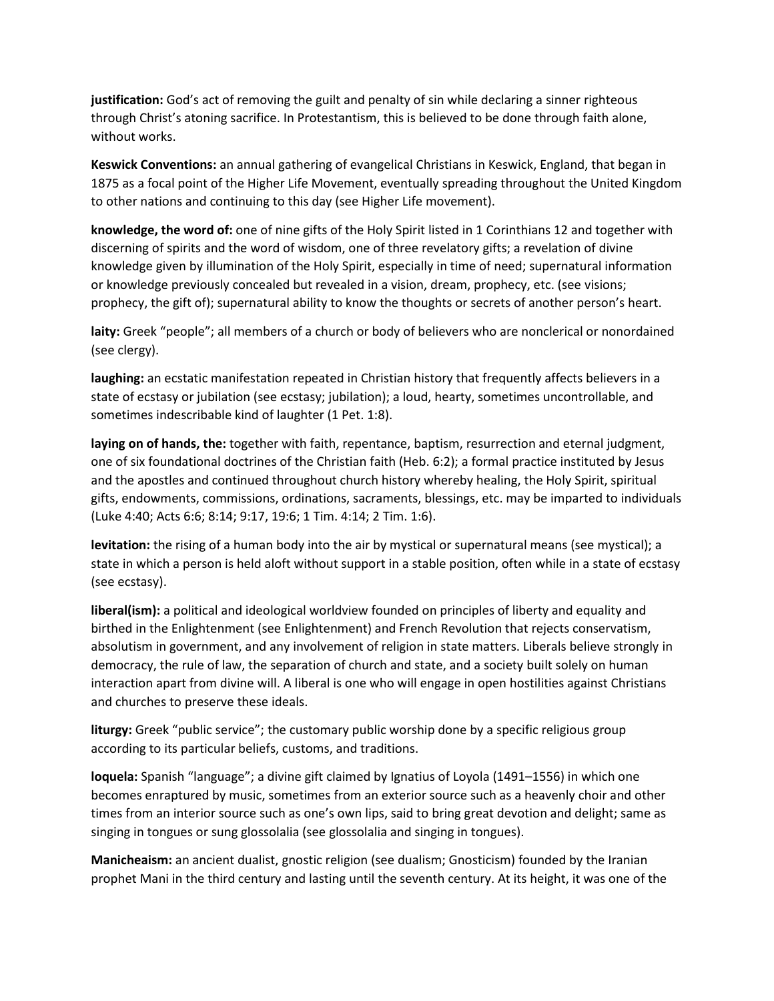**justification:** God's act of removing the guilt and penalty of sin while declaring a sinner righteous through Christ's atoning sacrifice. In Protestantism, this is believed to be done through faith alone, without works.

**Keswick Conventions:** an annual gathering of evangelical Christians in Keswick, England, that began in 1875 as a focal point of the Higher Life Movement, eventually spreading throughout the United Kingdom to other nations and continuing to this day (see Higher Life movement).

**knowledge, the word of:** one of nine gifts of the Holy Spirit listed in 1 Corinthians 12 and together with discerning of spirits and the word of wisdom, one of three revelatory gifts; a revelation of divine knowledge given by illumination of the Holy Spirit, especially in time of need; supernatural information or knowledge previously concealed but revealed in a vision, dream, prophecy, etc. (see visions; prophecy, the gift of); supernatural ability to know the thoughts or secrets of another person's heart.

**laity:** Greek "people"; all members of a church or body of believers who are nonclerical or nonordained (see clergy).

**laughing:** an ecstatic manifestation repeated in Christian history that frequently affects believers in a state of ecstasy or jubilation (see ecstasy; jubilation); a loud, hearty, sometimes uncontrollable, and sometimes indescribable kind of laughter (1 Pet. 1:8).

**laying on of hands, the:** together with faith, repentance, baptism, resurrection and eternal judgment, one of six foundational doctrines of the Christian faith (Heb. 6:2); a formal practice instituted by Jesus and the apostles and continued throughout church history whereby healing, the Holy Spirit, spiritual gifts, endowments, commissions, ordinations, sacraments, blessings, etc. may be imparted to individuals (Luke 4:40; Acts 6:6; 8:14; 9:17, 19:6; 1 Tim. 4:14; 2 Tim. 1:6).

**levitation:** the rising of a human body into the air by mystical or supernatural means (see mystical); a state in which a person is held aloft without support in a stable position, often while in a state of ecstasy (see ecstasy).

**liberal(ism):** a political and ideological worldview founded on principles of liberty and equality and birthed in the Enlightenment (see Enlightenment) and French Revolution that rejects conservatism, absolutism in government, and any involvement of religion in state matters. Liberals believe strongly in democracy, the rule of law, the separation of church and state, and a society built solely on human interaction apart from divine will. A liberal is one who will engage in open hostilities against Christians and churches to preserve these ideals.

**liturgy:** Greek "public service"; the customary public worship done by a specific religious group according to its particular beliefs, customs, and traditions.

**loquela:** Spanish "language"; a divine gift claimed by Ignatius of Loyola (1491–1556) in which one becomes enraptured by music, sometimes from an exterior source such as a heavenly choir and other times from an interior source such as one's own lips, said to bring great devotion and delight; same as singing in tongues or sung glossolalia (see glossolalia and singing in tongues).

**Manicheaism:** an ancient dualist, gnostic religion (see dualism; Gnosticism) founded by the Iranian prophet Mani in the third century and lasting until the seventh century. At its height, it was one of the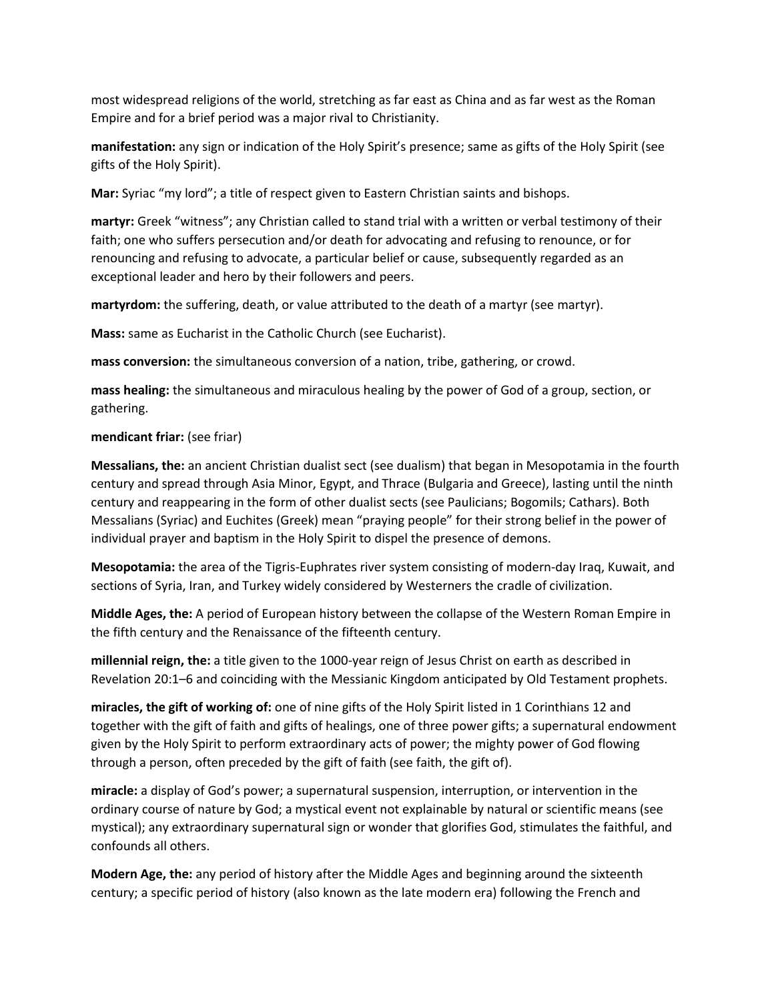most widespread religions of the world, stretching as far east as China and as far west as the Roman Empire and for a brief period was a major rival to Christianity.

**manifestation:** any sign or indication of the Holy Spirit's presence; same as gifts of the Holy Spirit (see gifts of the Holy Spirit).

**Mar:** Syriac "my lord"; a title of respect given to Eastern Christian saints and bishops.

**martyr:** Greek "witness"; any Christian called to stand trial with a written or verbal testimony of their faith; one who suffers persecution and/or death for advocating and refusing to renounce, or for renouncing and refusing to advocate, a particular belief or cause, subsequently regarded as an exceptional leader and hero by their followers and peers.

**martyrdom:** the suffering, death, or value attributed to the death of a martyr (see martyr).

**Mass:** same as Eucharist in the Catholic Church (see Eucharist).

**mass conversion:** the simultaneous conversion of a nation, tribe, gathering, or crowd.

**mass healing:** the simultaneous and miraculous healing by the power of God of a group, section, or gathering.

# **mendicant friar:** (see friar)

**Messalians, the:** an ancient Christian dualist sect (see dualism) that began in Mesopotamia in the fourth century and spread through Asia Minor, Egypt, and Thrace (Bulgaria and Greece), lasting until the ninth century and reappearing in the form of other dualist sects (see Paulicians; Bogomils; Cathars). Both Messalians (Syriac) and Euchites (Greek) mean "praying people" for their strong belief in the power of individual prayer and baptism in the Holy Spirit to dispel the presence of demons.

**Mesopotamia:** the area of the Tigris-Euphrates river system consisting of modern-day Iraq, Kuwait, and sections of Syria, Iran, and Turkey widely considered by Westerners the cradle of civilization.

**Middle Ages, the:** A period of European history between the collapse of the Western Roman Empire in the fifth century and the Renaissance of the fifteenth century.

**millennial reign, the:** a title given to the 1000-year reign of Jesus Christ on earth as described in Revelation 20:1–6 and coinciding with the Messianic Kingdom anticipated by Old Testament prophets.

**miracles, the gift of working of:** one of nine gifts of the Holy Spirit listed in 1 Corinthians 12 and together with the gift of faith and gifts of healings, one of three power gifts; a supernatural endowment given by the Holy Spirit to perform extraordinary acts of power; the mighty power of God flowing through a person, often preceded by the gift of faith (see faith, the gift of).

**miracle:** a display of God's power; a supernatural suspension, interruption, or intervention in the ordinary course of nature by God; a mystical event not explainable by natural or scientific means (see mystical); any extraordinary supernatural sign or wonder that glorifies God, stimulates the faithful, and confounds all others.

**Modern Age, the:** any period of history after the Middle Ages and beginning around the sixteenth century; a specific period of history (also known as the late modern era) following the French and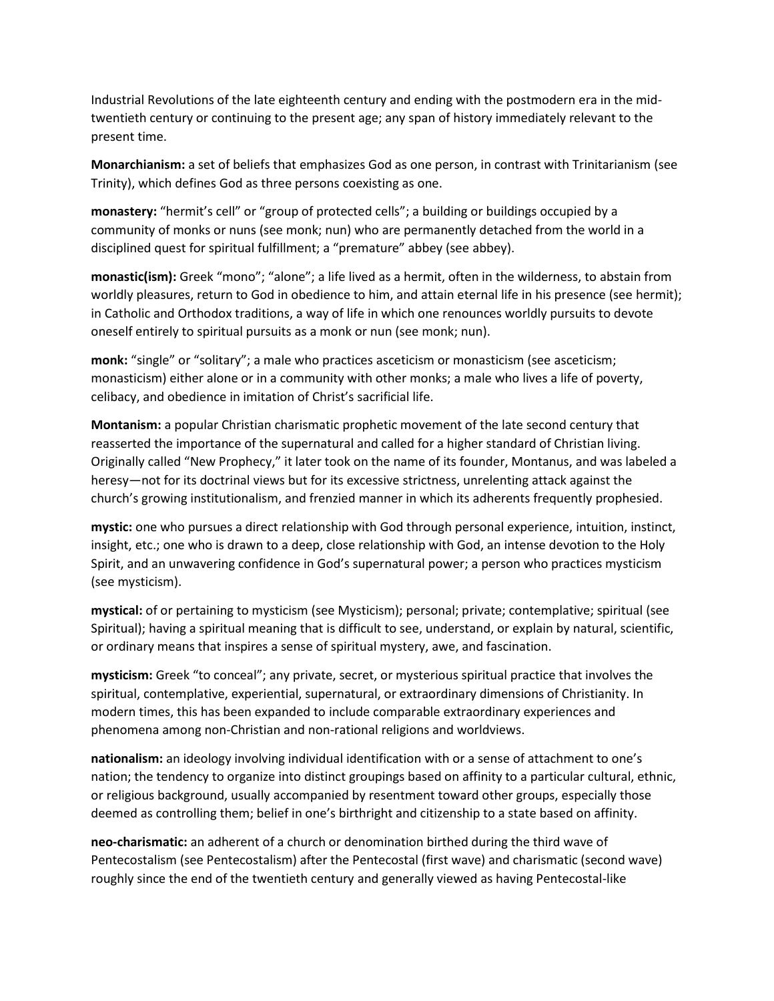Industrial Revolutions of the late eighteenth century and ending with the postmodern era in the midtwentieth century or continuing to the present age; any span of history immediately relevant to the present time.

**Monarchianism:** a set of beliefs that emphasizes God as one person, in contrast with Trinitarianism (see Trinity), which defines God as three persons coexisting as one.

**monastery:** "hermit's cell" or "group of protected cells"; a building or buildings occupied by a community of monks or nuns (see monk; nun) who are permanently detached from the world in a disciplined quest for spiritual fulfillment; a "premature" abbey (see abbey).

**monastic(ism):** Greek "mono"; "alone"; a life lived as a hermit, often in the wilderness, to abstain from worldly pleasures, return to God in obedience to him, and attain eternal life in his presence (see hermit); in Catholic and Orthodox traditions, a way of life in which one renounces worldly pursuits to devote oneself entirely to spiritual pursuits as a monk or nun (see monk; nun).

monk: "single" or "solitary"; a male who practices asceticism or monasticism (see asceticism; monasticism) either alone or in a community with other monks; a male who lives a life of poverty, celibacy, and obedience in imitation of Christ's sacrificial life.

**Montanism:** a popular Christian charismatic prophetic movement of the late second century that reasserted the importance of the supernatural and called for a higher standard of Christian living. Originally called "New Prophecy," it later took on the name of its founder, Montanus, and was labeled a heresy—not for its doctrinal views but for its excessive strictness, unrelenting attack against the church's growing institutionalism, and frenzied manner in which its adherents frequently prophesied.

**mystic:** one who pursues a direct relationship with God through personal experience, intuition, instinct, insight, etc.; one who is drawn to a deep, close relationship with God, an intense devotion to the Holy Spirit, and an unwavering confidence in God's supernatural power; a person who practices mysticism (see mysticism).

**mystical:** of or pertaining to mysticism (see Mysticism); personal; private; contemplative; spiritual (see Spiritual); having a spiritual meaning that is difficult to see, understand, or explain by natural, scientific, or ordinary means that inspires a sense of spiritual mystery, awe, and fascination.

**mysticism:** Greek "to conceal"; any private, secret, or mysterious spiritual practice that involves the spiritual, contemplative, experiential, supernatural, or extraordinary dimensions of Christianity. In modern times, this has been expanded to include comparable extraordinary experiences and phenomena among non-Christian and non-rational religions and worldviews.

**nationalism:** an ideology involving individual identification with or a sense of attachment to one's nation; the tendency to organize into distinct groupings based on affinity to a particular cultural, ethnic, or religious background, usually accompanied by resentment toward other groups, especially those deemed as controlling them; belief in one's birthright and citizenship to a state based on affinity.

**neo-charismatic:** an adherent of a church or denomination birthed during the third wave of Pentecostalism (see Pentecostalism) after the Pentecostal (first wave) and charismatic (second wave) roughly since the end of the twentieth century and generally viewed as having Pentecostal-like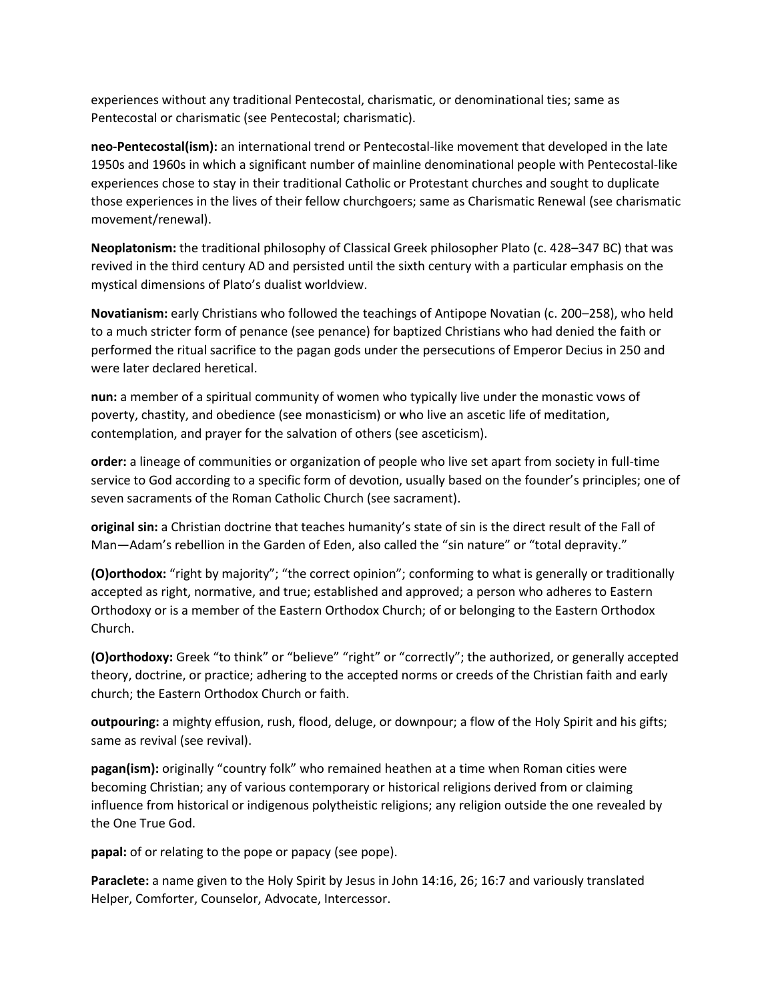experiences without any traditional Pentecostal, charismatic, or denominational ties; same as Pentecostal or charismatic (see Pentecostal; charismatic).

**neo-Pentecostal(ism):** an international trend or Pentecostal-like movement that developed in the late 1950s and 1960s in which a significant number of mainline denominational people with Pentecostal-like experiences chose to stay in their traditional Catholic or Protestant churches and sought to duplicate those experiences in the lives of their fellow churchgoers; same as Charismatic Renewal (see charismatic movement/renewal).

**Neoplatonism:** the traditional philosophy of Classical Greek philosopher Plato (c. 428–347 BC) that was revived in the third century AD and persisted until the sixth century with a particular emphasis on the mystical dimensions of Plato's dualist worldview.

**Novatianism:** early Christians who followed the teachings of Antipope Novatian (c. 200–258), who held to a much stricter form of penance (see penance) for baptized Christians who had denied the faith or performed the ritual sacrifice to the pagan gods under the persecutions of Emperor Decius in 250 and were later declared heretical.

**nun:** a member of a spiritual community of women who typically live under the monastic vows of poverty, chastity, and obedience (see monasticism) or who live an ascetic life of meditation, contemplation, and prayer for the salvation of others (see asceticism).

**order:** a lineage of communities or organization of people who live set apart from society in full-time service to God according to a specific form of devotion, usually based on the founder's principles; one of seven sacraments of the Roman Catholic Church (see sacrament).

**original sin:** a Christian doctrine that teaches humanity's state of sin is the direct result of the Fall of Man—Adam's rebellion in the Garden of Eden, also called the "sin nature" or "total depravity."

**(O)orthodox:** "right by majority"; "the correct opinion"; conforming to what is generally or traditionally accepted as right, normative, and true; established and approved; a person who adheres to Eastern Orthodoxy or is a member of the Eastern Orthodox Church; of or belonging to the Eastern Orthodox Church.

**(O)orthodoxy:** Greek "to think" or "believe" "right" or "correctly"; the authorized, or generally accepted theory, doctrine, or practice; adhering to the accepted norms or creeds of the Christian faith and early church; the Eastern Orthodox Church or faith.

**outpouring:** a mighty effusion, rush, flood, deluge, or downpour; a flow of the Holy Spirit and his gifts; same as revival (see revival).

**pagan(ism):** originally "country folk" who remained heathen at a time when Roman cities were becoming Christian; any of various contemporary or historical religions derived from or claiming influence from historical or indigenous polytheistic religions; any religion outside the one revealed by the One True God.

**papal:** of or relating to the pope or papacy (see pope).

**Paraclete:** a name given to the Holy Spirit by Jesus in John 14:16, 26; 16:7 and variously translated Helper, Comforter, Counselor, Advocate, Intercessor.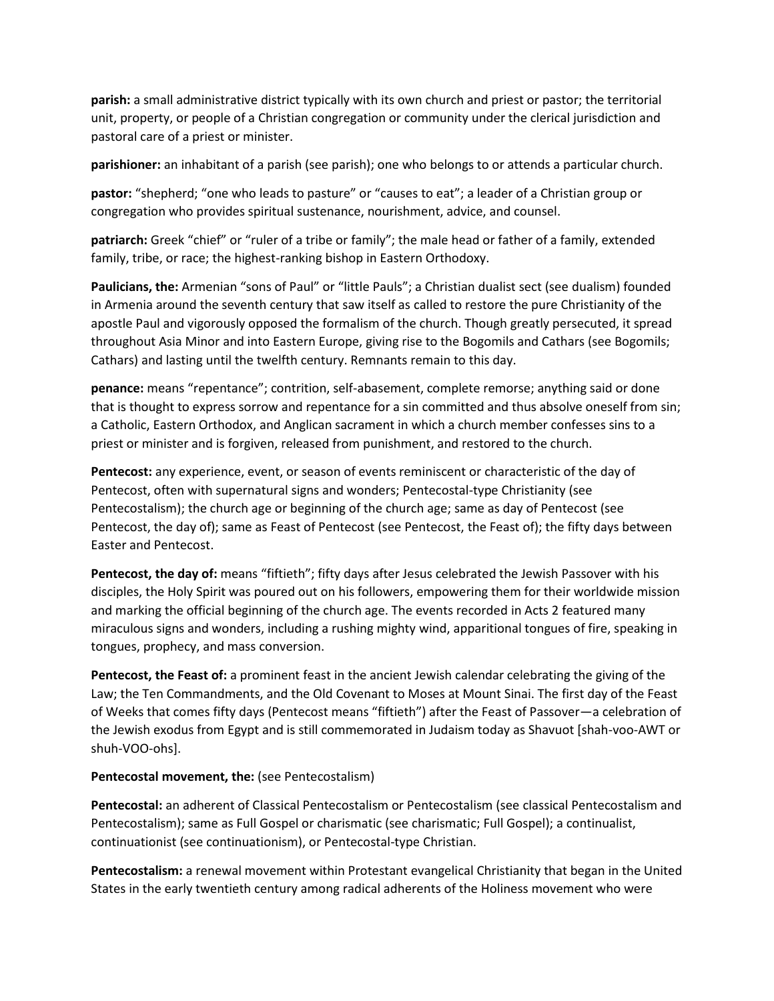**parish:** a small administrative district typically with its own church and priest or pastor; the territorial unit, property, or people of a Christian congregation or community under the clerical jurisdiction and pastoral care of a priest or minister.

**parishioner:** an inhabitant of a parish (see parish); one who belongs to or attends a particular church.

**pastor:** "shepherd; "one who leads to pasture" or "causes to eat"; a leader of a Christian group or congregation who provides spiritual sustenance, nourishment, advice, and counsel.

**patriarch:** Greek "chief" or "ruler of a tribe or family"; the male head or father of a family, extended family, tribe, or race; the highest-ranking bishop in Eastern Orthodoxy.

Paulicians, the: Armenian "sons of Paul" or "little Pauls"; a Christian dualist sect (see dualism) founded in Armenia around the seventh century that saw itself as called to restore the pure Christianity of the apostle Paul and vigorously opposed the formalism of the church. Though greatly persecuted, it spread throughout Asia Minor and into Eastern Europe, giving rise to the Bogomils and Cathars (see Bogomils; Cathars) and lasting until the twelfth century. Remnants remain to this day.

**penance:** means "repentance"; contrition, self-abasement, complete remorse; anything said or done that is thought to express sorrow and repentance for a sin committed and thus absolve oneself from sin; a Catholic, Eastern Orthodox, and Anglican sacrament in which a church member confesses sins to a priest or minister and is forgiven, released from punishment, and restored to the church.

**Pentecost:** any experience, event, or season of events reminiscent or characteristic of the day of Pentecost, often with supernatural signs and wonders; Pentecostal-type Christianity (see Pentecostalism); the church age or beginning of the church age; same as day of Pentecost (see Pentecost, the day of); same as Feast of Pentecost (see Pentecost, the Feast of); the fifty days between Easter and Pentecost.

**Pentecost, the day of:** means "fiftieth"; fifty days after Jesus celebrated the Jewish Passover with his disciples, the Holy Spirit was poured out on his followers, empowering them for their worldwide mission and marking the official beginning of the church age. The events recorded in Acts 2 featured many miraculous signs and wonders, including a rushing mighty wind, apparitional tongues of fire, speaking in tongues, prophecy, and mass conversion.

**Pentecost, the Feast of:** a prominent feast in the ancient Jewish calendar celebrating the giving of the Law; the Ten Commandments, and the Old Covenant to Moses at Mount Sinai. The first day of the Feast of Weeks that comes fifty days (Pentecost means "fiftieth") after the Feast of Passover—a celebration of the Jewish exodus from Egypt and is still commemorated in Judaism today as Shavuot [shah-voo-AWT or shuh-VOO-ohs].

## **Pentecostal movement, the:** (see Pentecostalism)

**Pentecostal:** an adherent of Classical Pentecostalism or Pentecostalism (see classical Pentecostalism and Pentecostalism); same as Full Gospel or charismatic (see charismatic; Full Gospel); a continualist, continuationist (see continuationism), or Pentecostal-type Christian.

**Pentecostalism:** a renewal movement within Protestant evangelical Christianity that began in the United States in the early twentieth century among radical adherents of the Holiness movement who were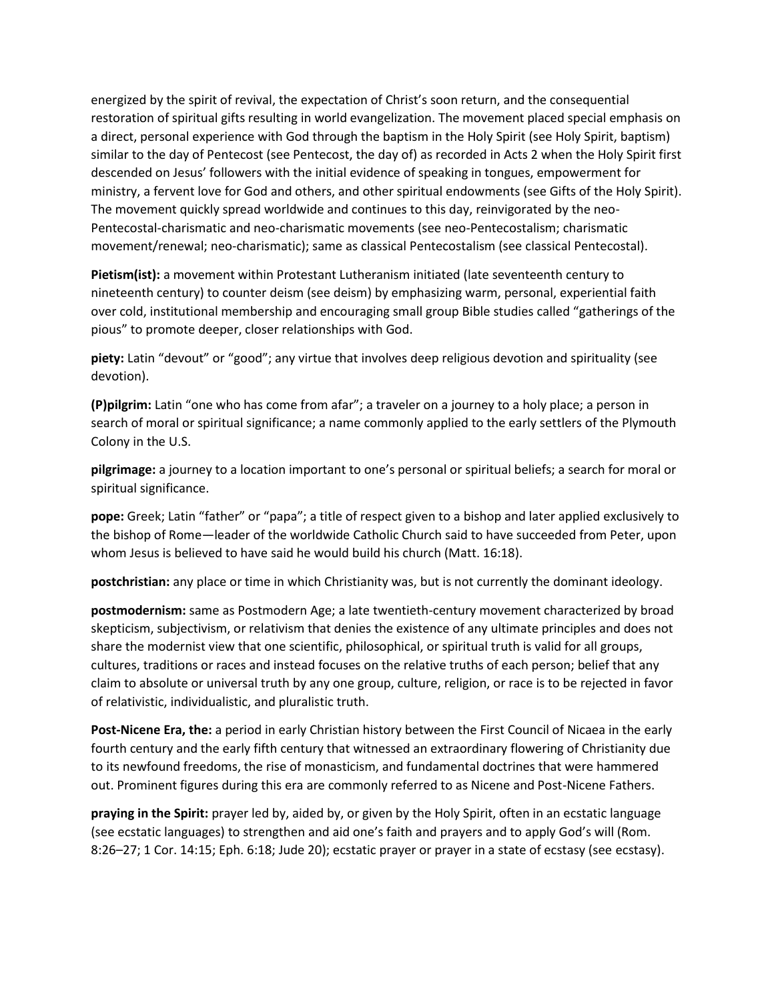energized by the spirit of revival, the expectation of Christ's soon return, and the consequential restoration of spiritual gifts resulting in world evangelization. The movement placed special emphasis on a direct, personal experience with God through the baptism in the Holy Spirit (see Holy Spirit, baptism) similar to the day of Pentecost (see Pentecost, the day of) as recorded in Acts 2 when the Holy Spirit first descended on Jesus' followers with the initial evidence of speaking in tongues, empowerment for ministry, a fervent love for God and others, and other spiritual endowments (see Gifts of the Holy Spirit). The movement quickly spread worldwide and continues to this day, reinvigorated by the neo-Pentecostal-charismatic and neo-charismatic movements (see neo-Pentecostalism; charismatic movement/renewal; neo-charismatic); same as classical Pentecostalism (see classical Pentecostal).

**Pietism(ist):** a movement within Protestant Lutheranism initiated (late seventeenth century to nineteenth century) to counter deism (see deism) by emphasizing warm, personal, experiential faith over cold, institutional membership and encouraging small group Bible studies called "gatherings of the pious" to promote deeper, closer relationships with God.

**piety:** Latin "devout" or "good"; any virtue that involves deep religious devotion and spirituality (see devotion).

**(P)pilgrim:** Latin "one who has come from afar"; a traveler on a journey to a holy place; a person in search of moral or spiritual significance; a name commonly applied to the early settlers of the Plymouth Colony in the U.S.

**pilgrimage:** a journey to a location important to one's personal or spiritual beliefs; a search for moral or spiritual significance.

**pope:** Greek; Latin "father" or "papa"; a title of respect given to a bishop and later applied exclusively to the bishop of Rome—leader of the worldwide Catholic Church said to have succeeded from Peter, upon whom Jesus is believed to have said he would build his church (Matt. 16:18).

**postchristian:** any place or time in which Christianity was, but is not currently the dominant ideology.

**postmodernism:** same as Postmodern Age; a late twentieth-century movement characterized by broad skepticism, subjectivism, or relativism that denies the existence of any ultimate principles and does not share the modernist view that one scientific, philosophical, or spiritual truth is valid for all groups, cultures, traditions or races and instead focuses on the relative truths of each person; belief that any claim to absolute or universal truth by any one group, culture, religion, or race is to be rejected in favor of relativistic, individualistic, and pluralistic truth.

**Post-Nicene Era, the:** a period in early Christian history between the First Council of Nicaea in the early fourth century and the early fifth century that witnessed an extraordinary flowering of Christianity due to its newfound freedoms, the rise of monasticism, and fundamental doctrines that were hammered out. Prominent figures during this era are commonly referred to as Nicene and Post-Nicene Fathers.

**praying in the Spirit:** prayer led by, aided by, or given by the Holy Spirit, often in an ecstatic language (see ecstatic languages) to strengthen and aid one's faith and prayers and to apply God's will (Rom. 8:26–27; 1 Cor. 14:15; Eph. 6:18; Jude 20); ecstatic prayer or prayer in a state of ecstasy (see ecstasy).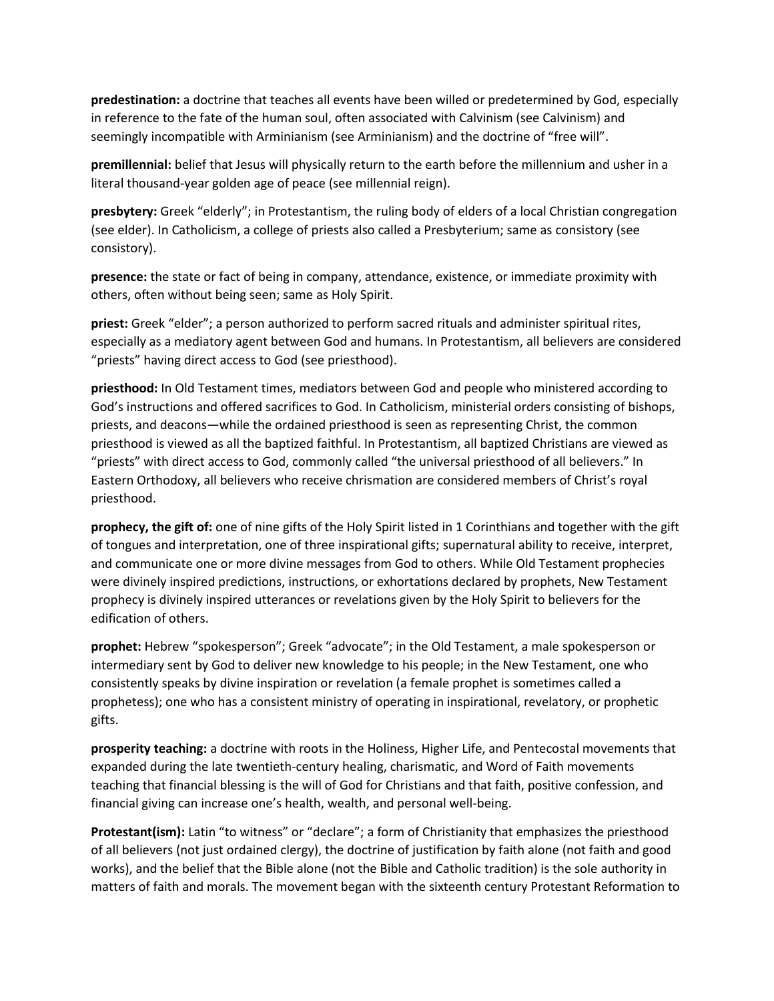**predestination:** a doctrine that teaches all events have been willed or predetermined by God, especially in reference to the fate of the human soul, often associated with Calvinism (see Calvinism) and seemingly incompatible with Arminianism (see Arminianism) and the doctrine of "free will".

**premillennial:** belief that Jesus will physically return to the earth before the millennium and usher in a literal thousand-year golden age of peace (see millennial reign).

**presbytery:** Greek "elderly"; in Protestantism, the ruling body of elders of a local Christian congregation (see elder). In Catholicism, a college of priests also called a Presbyterium; same as consistory (see consistory).

**presence:** the state or fact of being in company, attendance, existence, or immediate proximity with others, often without being seen; same as Holy Spirit.

**priest:** Greek "elder"; a person authorized to perform sacred rituals and administer spiritual rites, especially as a mediatory agent between God and humans. In Protestantism, all believers are considered "priests" having direct access to God (see priesthood).

**priesthood:** In Old Testament times, mediators between God and people who ministered according to God's instructions and offered sacrifices to God. In Catholicism, ministerial orders consisting of bishops, priests, and deacons—while the ordained priesthood is seen as representing Christ, the common priesthood is viewed as all the baptized faithful. In Protestantism, all baptized Christians are viewed as "priests" with direct access to God, commonly called "the universal priesthood of all believers." In Eastern Orthodoxy, all believers who receive chrismation are considered members of Christ's royal priesthood.

**prophecy, the gift of:** one of nine gifts of the Holy Spirit listed in 1 Corinthians and together with the gift of tongues and interpretation, one of three inspirational gifts; supernatural ability to receive, interpret, and communicate one or more divine messages from God to others. While Old Testament prophecies were divinely inspired predictions, instructions, or exhortations declared by prophets, New Testament prophecy is divinely inspired utterances or revelations given by the Holy Spirit to believers for the edification of others.

**prophet:** Hebrew "spokesperson"; Greek "advocate"; in the Old Testament, a male spokesperson or intermediary sent by God to deliver new knowledge to his people; in the New Testament, one who consistently speaks by divine inspiration or revelation (a female prophet is sometimes called a prophetess); one who has a consistent ministry of operating in inspirational, revelatory, or prophetic gifts.

**prosperity teaching:** a doctrine with roots in the Holiness, Higher Life, and Pentecostal movements that expanded during the late twentieth-century healing, charismatic, and Word of Faith movements teaching that financial blessing is the will of God for Christians and that faith, positive confession, and financial giving can increase one's health, wealth, and personal well-being.

**Protestant(ism):** Latin "to witness" or "declare"; a form of Christianity that emphasizes the priesthood of all believers (not just ordained clergy), the doctrine of justification by faith alone (not faith and good works), and the belief that the Bible alone (not the Bible and Catholic tradition) is the sole authority in matters of faith and morals. The movement began with the sixteenth century Protestant Reformation to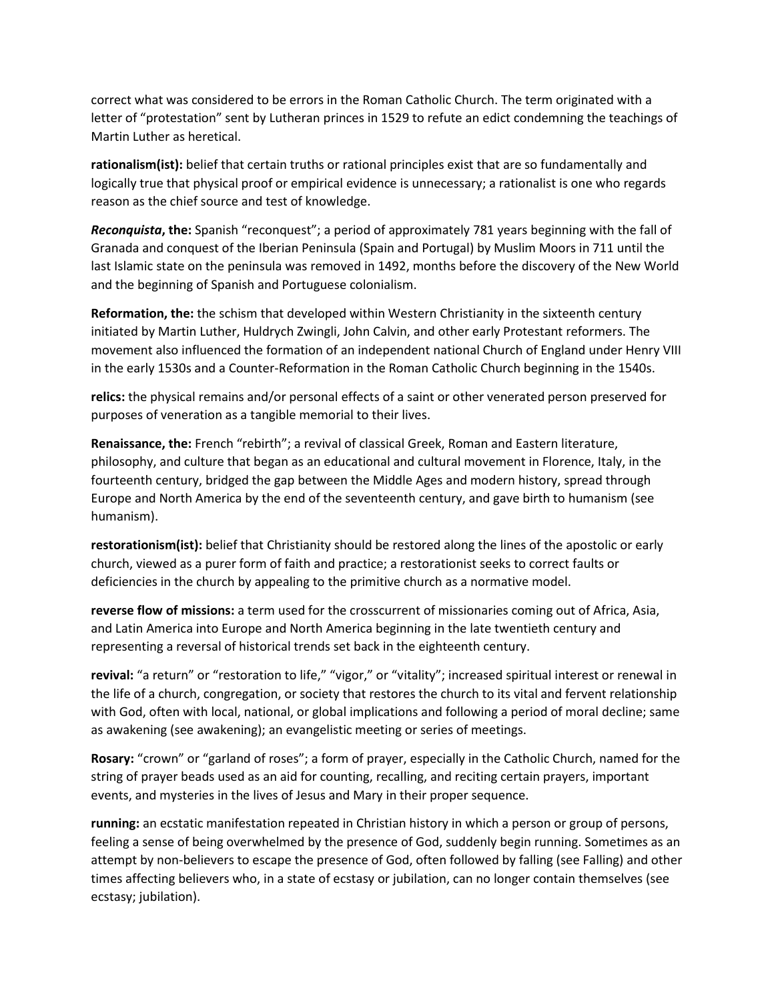correct what was considered to be errors in the Roman Catholic Church. The term originated with a letter of "protestation" sent by Lutheran princes in 1529 to refute an edict condemning the teachings of Martin Luther as heretical.

**rationalism(ist):** belief that certain truths or rational principles exist that are so fundamentally and logically true that physical proof or empirical evidence is unnecessary; a rationalist is one who regards reason as the chief source and test of knowledge.

*Reconquista***, the:** Spanish "reconquest"; a period of approximately 781 years beginning with the fall of Granada and conquest of the Iberian Peninsula (Spain and Portugal) by Muslim Moors in 711 until the last Islamic state on the peninsula was removed in 1492, months before the discovery of the New World and the beginning of Spanish and Portuguese colonialism.

**Reformation, the:** the schism that developed within Western Christianity in the sixteenth century initiated by Martin Luther, Huldrych Zwingli, John Calvin, and other early Protestant reformers. The movement also influenced the formation of an independent national Church of England under Henry VIII in the early 1530s and a Counter-Reformation in the Roman Catholic Church beginning in the 1540s.

**relics:** the physical remains and/or personal effects of a saint or other venerated person preserved for purposes of veneration as a tangible memorial to their lives.

**Renaissance, the:** French "rebirth"; a revival of classical Greek, Roman and Eastern literature, philosophy, and culture that began as an educational and cultural movement in Florence, Italy, in the fourteenth century, bridged the gap between the Middle Ages and modern history, spread through Europe and North America by the end of the seventeenth century, and gave birth to humanism (see humanism).

**restorationism(ist):** belief that Christianity should be restored along the lines of the apostolic or early church, viewed as a purer form of faith and practice; a restorationist seeks to correct faults or deficiencies in the church by appealing to the primitive church as a normative model.

**reverse flow of missions:** a term used for the crosscurrent of missionaries coming out of Africa, Asia, and Latin America into Europe and North America beginning in the late twentieth century and representing a reversal of historical trends set back in the eighteenth century.

**revival:** "a return" or "restoration to life," "vigor," or "vitality"; increased spiritual interest or renewal in the life of a church, congregation, or society that restores the church to its vital and fervent relationship with God, often with local, national, or global implications and following a period of moral decline; same as awakening (see awakening); an evangelistic meeting or series of meetings.

**Rosary:** "crown" or "garland of roses"; a form of prayer, especially in the Catholic Church, named for the string of prayer beads used as an aid for counting, recalling, and reciting certain prayers, important events, and mysteries in the lives of Jesus and Mary in their proper sequence.

**running:** an ecstatic manifestation repeated in Christian history in which a person or group of persons, feeling a sense of being overwhelmed by the presence of God, suddenly begin running. Sometimes as an attempt by non-believers to escape the presence of God, often followed by falling (see Falling) and other times affecting believers who, in a state of ecstasy or jubilation, can no longer contain themselves (see ecstasy; jubilation).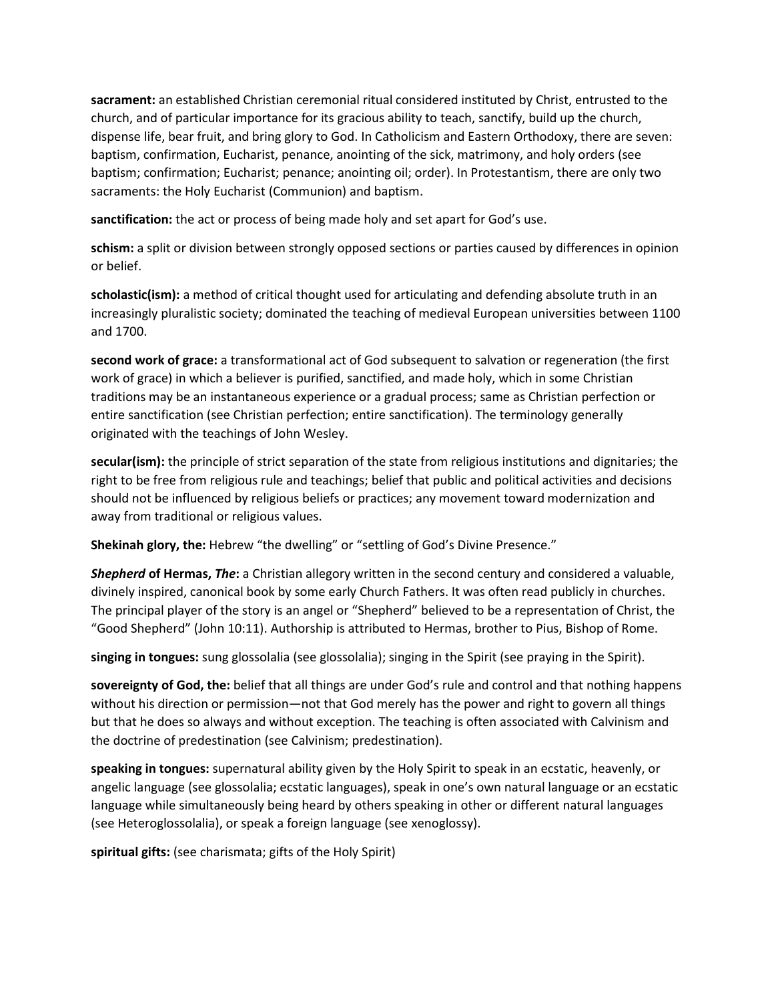**sacrament:** an established Christian ceremonial ritual considered instituted by Christ, entrusted to the church, and of particular importance for its gracious ability to teach, sanctify, build up the church, dispense life, bear fruit, and bring glory to God. In Catholicism and Eastern Orthodoxy, there are seven: baptism, confirmation, Eucharist, penance, anointing of the sick, matrimony, and holy orders (see baptism; confirmation; Eucharist; penance; anointing oil; order). In Protestantism, there are only two sacraments: the Holy Eucharist (Communion) and baptism.

**sanctification:** the act or process of being made holy and set apart for God's use.

**schism:** a split or division between strongly opposed sections or parties caused by differences in opinion or belief.

**scholastic(ism):** a method of critical thought used for articulating and defending absolute truth in an increasingly pluralistic society; dominated the teaching of medieval European universities between 1100 and 1700.

**second work of grace:** a transformational act of God subsequent to salvation or regeneration (the first work of grace) in which a believer is purified, sanctified, and made holy, which in some Christian traditions may be an instantaneous experience or a gradual process; same as Christian perfection or entire sanctification (see Christian perfection; entire sanctification). The terminology generally originated with the teachings of John Wesley.

**secular(ism):** the principle of strict separation of the state from religious institutions and dignitaries; the right to be free from religious rule and teachings; belief that public and political activities and decisions should not be influenced by religious beliefs or practices; any movement toward modernization and away from traditional or religious values.

**Shekinah glory, the:** Hebrew "the dwelling" or "settling of God's Divine Presence."

*Shepherd* **of Hermas,** *The***:** a Christian allegory written in the second century and considered a valuable, divinely inspired, canonical book by some early Church Fathers. It was often read publicly in churches. The principal player of the story is an angel or "Shepherd" believed to be a representation of Christ, the "Good Shepherd" (John 10:11). Authorship is attributed to Hermas, brother to Pius, Bishop of Rome.

**singing in tongues:** sung glossolalia (see glossolalia); singing in the Spirit (see praying in the Spirit).

**sovereignty of God, the:** belief that all things are under God's rule and control and that nothing happens without his direction or permission—not that God merely has the power and right to govern all things but that he does so always and without exception. The teaching is often associated with Calvinism and the doctrine of predestination (see Calvinism; predestination).

**speaking in tongues:** supernatural ability given by the Holy Spirit to speak in an ecstatic, heavenly, or angelic language (see glossolalia; ecstatic languages), speak in one's own natural language or an ecstatic language while simultaneously being heard by others speaking in other or different natural languages (see Heteroglossolalia), or speak a foreign language (see xenoglossy).

**spiritual gifts:** (see charismata; gifts of the Holy Spirit)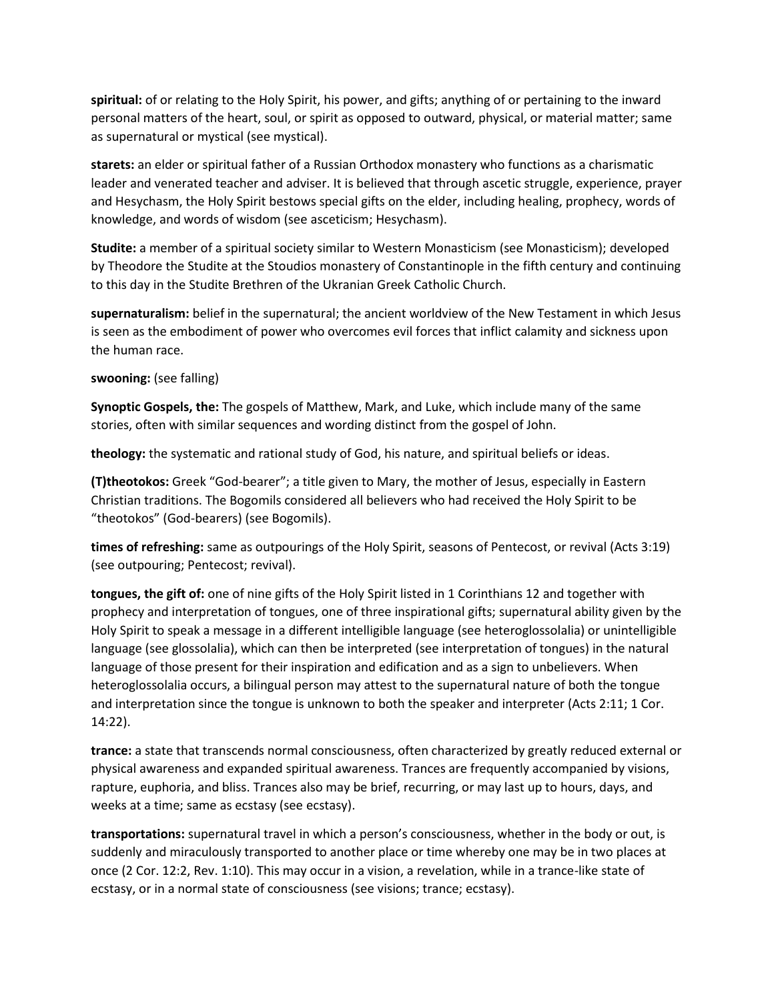**spiritual:** of or relating to the Holy Spirit, his power, and gifts; anything of or pertaining to the inward personal matters of the heart, soul, or spirit as opposed to outward, physical, or material matter; same as supernatural or mystical (see mystical).

**starets:** an elder or spiritual father of a Russian Orthodox monastery who functions as a charismatic leader and venerated teacher and adviser. It is believed that through ascetic struggle, experience, prayer and Hesychasm, the Holy Spirit bestows special gifts on the elder, including healing, prophecy, words of knowledge, and words of wisdom (see asceticism; Hesychasm).

**Studite:** a member of a spiritual society similar to Western Monasticism (see Monasticism); developed by Theodore the Studite at the Stoudios monastery of Constantinople in the fifth century and continuing to this day in the Studite Brethren of the Ukranian Greek Catholic Church.

**supernaturalism:** belief in the supernatural; the ancient worldview of the New Testament in which Jesus is seen as the embodiment of power who overcomes evil forces that inflict calamity and sickness upon the human race.

## **swooning:** (see falling)

**Synoptic Gospels, the:** The gospels of Matthew, Mark, and Luke, which include many of the same stories, often with similar sequences and wording distinct from the gospel of John.

**theology:** the systematic and rational study of God, his nature, and spiritual beliefs or ideas.

**(T)theotokos:** Greek "God-bearer"; a title given to Mary, the mother of Jesus, especially in Eastern Christian traditions. The Bogomils considered all believers who had received the Holy Spirit to be "theotokos" (God-bearers) (see Bogomils).

**times of refreshing:** same as outpourings of the Holy Spirit, seasons of Pentecost, or revival (Acts 3:19) (see outpouring; Pentecost; revival).

**tongues, the gift of:** one of nine gifts of the Holy Spirit listed in 1 Corinthians 12 and together with prophecy and interpretation of tongues, one of three inspirational gifts; supernatural ability given by the Holy Spirit to speak a message in a different intelligible language (see heteroglossolalia) or unintelligible language (see glossolalia), which can then be interpreted (see interpretation of tongues) in the natural language of those present for their inspiration and edification and as a sign to unbelievers. When heteroglossolalia occurs, a bilingual person may attest to the supernatural nature of both the tongue and interpretation since the tongue is unknown to both the speaker and interpreter (Acts 2:11; 1 Cor. 14:22).

**trance:** a state that transcends normal consciousness, often characterized by greatly reduced external or physical awareness and expanded spiritual awareness. Trances are frequently accompanied by visions, rapture, euphoria, and bliss. Trances also may be brief, recurring, or may last up to hours, days, and weeks at a time; same as ecstasy (see ecstasy).

**transportations:** supernatural travel in which a person's consciousness, whether in the body or out, is suddenly and miraculously transported to another place or time whereby one may be in two places at once (2 Cor. 12:2, Rev. 1:10). This may occur in a vision, a revelation, while in a trance-like state of ecstasy, or in a normal state of consciousness (see visions; trance; ecstasy).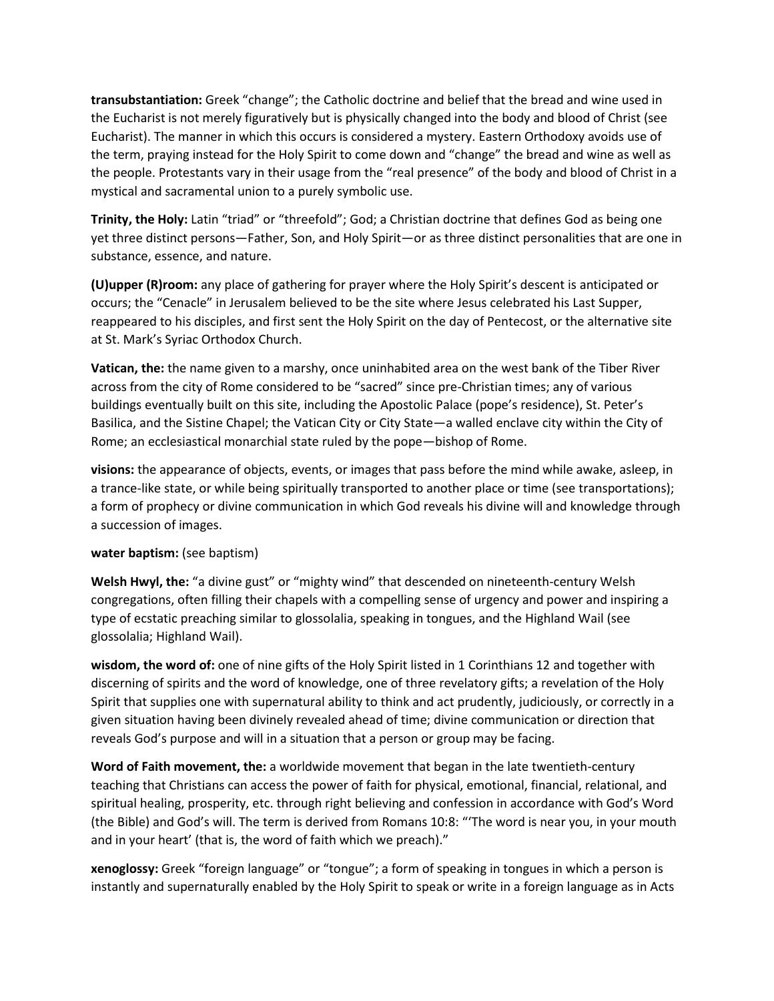**transubstantiation:** Greek "change"; the Catholic doctrine and belief that the bread and wine used in the Eucharist is not merely figuratively but is physically changed into the body and blood of Christ (see Eucharist). The manner in which this occurs is considered a mystery. Eastern Orthodoxy avoids use of the term, praying instead for the Holy Spirit to come down and "change" the bread and wine as well as the people. Protestants vary in their usage from the "real presence" of the body and blood of Christ in a mystical and sacramental union to a purely symbolic use.

**Trinity, the Holy:** Latin "triad" or "threefold"; God; a Christian doctrine that defines God as being one yet three distinct persons—Father, Son, and Holy Spirit—or as three distinct personalities that are one in substance, essence, and nature.

**(U)upper (R)room:** any place of gathering for prayer where the Holy Spirit's descent is anticipated or occurs; the "Cenacle" in Jerusalem believed to be the site where Jesus celebrated his Last Supper, reappeared to his disciples, and first sent the Holy Spirit on the day of Pentecost, or the alternative site at St. Mark's Syriac Orthodox Church.

**Vatican, the:** the name given to a marshy, once uninhabited area on the west bank of the Tiber River across from the city of Rome considered to be "sacred" since pre-Christian times; any of various buildings eventually built on this site, including the Apostolic Palace (pope's residence), St. Peter's Basilica, and the Sistine Chapel; the Vatican City or City State—a walled enclave city within the City of Rome; an ecclesiastical monarchial state ruled by the pope—bishop of Rome.

**visions:** the appearance of objects, events, or images that pass before the mind while awake, asleep, in a trance-like state, or while being spiritually transported to another place or time (see transportations); a form of prophecy or divine communication in which God reveals his divine will and knowledge through a succession of images.

## **water baptism:** (see baptism)

**Welsh Hwyl, the:** "a divine gust" or "mighty wind" that descended on nineteenth-century Welsh congregations, often filling their chapels with a compelling sense of urgency and power and inspiring a type of ecstatic preaching similar to glossolalia, speaking in tongues, and the Highland Wail (see glossolalia; Highland Wail).

**wisdom, the word of:** one of nine gifts of the Holy Spirit listed in 1 Corinthians 12 and together with discerning of spirits and the word of knowledge, one of three revelatory gifts; a revelation of the Holy Spirit that supplies one with supernatural ability to think and act prudently, judiciously, or correctly in a given situation having been divinely revealed ahead of time; divine communication or direction that reveals God's purpose and will in a situation that a person or group may be facing.

**Word of Faith movement, the:** a worldwide movement that began in the late twentieth-century teaching that Christians can access the power of faith for physical, emotional, financial, relational, and spiritual healing, prosperity, etc. through right believing and confession in accordance with God's Word (the Bible) and God's will. The term is derived from Romans 10:8: "'The word is near you, in your mouth and in your heart' (that is, the word of faith which we preach)."

**xenoglossy:** Greek "foreign language" or "tongue"; a form of speaking in tongues in which a person is instantly and supernaturally enabled by the Holy Spirit to speak or write in a foreign language as in Acts